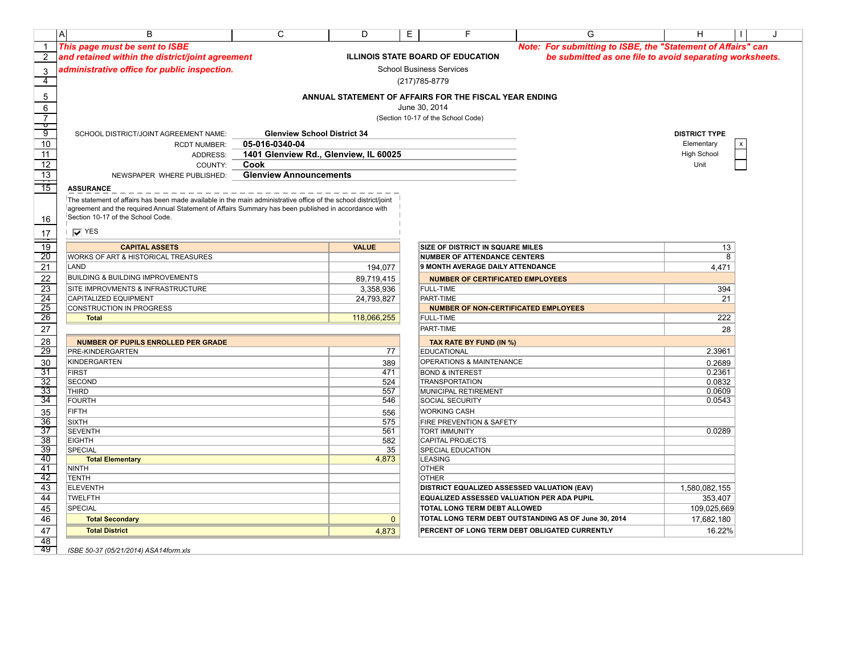|                                                                                                   | $\mathsf{A}$<br>B                                                                                                                                                                                                       | C                                     | D               | E | F                                                      | G                                                            | H                    | J |
|---------------------------------------------------------------------------------------------------|-------------------------------------------------------------------------------------------------------------------------------------------------------------------------------------------------------------------------|---------------------------------------|-----------------|---|--------------------------------------------------------|--------------------------------------------------------------|----------------------|---|
| $\mathbf{1}$                                                                                      | This page must be sent to ISBE                                                                                                                                                                                          |                                       |                 |   |                                                        | Note: For submitting to ISBE, the "Statement of Affairs" can |                      |   |
| 2                                                                                                 | and retained within the district/joint agreement                                                                                                                                                                        |                                       |                 |   | <b>ILLINOIS STATE BOARD OF EDUCATION</b>               | be submitted as one file to avoid separating worksheets.     |                      |   |
| 3                                                                                                 | administrative office for public inspection.                                                                                                                                                                            |                                       |                 |   | <b>School Business Services</b>                        |                                                              |                      |   |
| $\overline{4}$                                                                                    |                                                                                                                                                                                                                         |                                       |                 |   | (217) 785-8779                                         |                                                              |                      |   |
|                                                                                                   |                                                                                                                                                                                                                         |                                       |                 |   |                                                        |                                                              |                      |   |
| $\,$ 5 $\,$                                                                                       |                                                                                                                                                                                                                         |                                       |                 |   | ANNUAL STATEMENT OF AFFAIRS FOR THE FISCAL YEAR ENDING |                                                              |                      |   |
| $\,6$                                                                                             |                                                                                                                                                                                                                         |                                       |                 |   | June 30, 2014                                          |                                                              |                      |   |
| $\overline{7}$<br>᠊ᢦ                                                                              |                                                                                                                                                                                                                         |                                       |                 |   | (Section 10-17 of the School Code)                     |                                                              |                      |   |
| 9                                                                                                 | SCHOOL DISTRICT/JOINT AGREEMENT NAME:                                                                                                                                                                                   | <b>Glenview School District 34</b>    |                 |   |                                                        |                                                              | <b>DISTRICT TYPE</b> |   |
| 10                                                                                                | <b>RCDT NUMBER:</b>                                                                                                                                                                                                     | 05-016-0340-04                        |                 |   |                                                        |                                                              | Elementary           |   |
| $\overline{11}$                                                                                   | ADDRESS:                                                                                                                                                                                                                | 1401 Glenview Rd., Glenview, IL 60025 |                 |   |                                                        |                                                              | <b>High School</b>   |   |
| 12                                                                                                | COUNTY:                                                                                                                                                                                                                 | Cook                                  |                 |   |                                                        |                                                              | Unit                 |   |
|                                                                                                   | NEWSPAPER WHERE PUBLISHED:                                                                                                                                                                                              | <b>Glenview Announcements</b>         |                 |   |                                                        |                                                              |                      |   |
| $\frac{13}{15}$                                                                                   | <b>ASSURANCE</b>                                                                                                                                                                                                        |                                       |                 |   |                                                        |                                                              |                      |   |
|                                                                                                   |                                                                                                                                                                                                                         |                                       |                 |   |                                                        |                                                              |                      |   |
|                                                                                                   | The statement of affairs has been made available in the main administrative office of the school district/joint<br>agreement and the required Annual Statement of Affairs Summary has been published in accordance with |                                       |                 |   |                                                        |                                                              |                      |   |
| 16                                                                                                | Section 10-17 of the School Code.                                                                                                                                                                                       |                                       |                 |   |                                                        |                                                              |                      |   |
|                                                                                                   |                                                                                                                                                                                                                         |                                       |                 |   |                                                        |                                                              |                      |   |
| $17$                                                                                              | $\overline{V}$ YES                                                                                                                                                                                                      |                                       |                 |   |                                                        |                                                              |                      |   |
| $\overline{19}$                                                                                   | <b>CAPITAL ASSETS</b>                                                                                                                                                                                                   |                                       | <b>VALUE</b>    |   | SIZE OF DISTRICT IN SQUARE MILES                       |                                                              | 13                   |   |
| 20                                                                                                | WORKS OF ART & HISTORICAL TREASURES                                                                                                                                                                                     |                                       |                 |   | <b>NUMBER OF ATTENDANCE CENTERS</b>                    |                                                              | 8                    |   |
| 21                                                                                                | LAND                                                                                                                                                                                                                    |                                       | 194,077         |   | 9 MONTH AVERAGE DAILY ATTENDANCE                       |                                                              | 4,471                |   |
| 22                                                                                                | BUILDING & BUILDING IMPROVEMENTS                                                                                                                                                                                        |                                       | 89,719,415      |   | <b>NUMBER OF CERTIFICATED EMPLOYEES</b>                |                                                              |                      |   |
|                                                                                                   | SITE IMPROVMENTS & INFRASTRUCTURE                                                                                                                                                                                       |                                       | 3,358,936       |   | <b>FULL-TIME</b>                                       |                                                              | 394                  |   |
|                                                                                                   | CAPITALIZED EQUIPMENT                                                                                                                                                                                                   |                                       | 24,793,827      |   | PART-TIME                                              |                                                              | 21                   |   |
| $\begin{array}{r}\n\overline{23} \\ \overline{24} \\ \overline{25} \\ \overline{26}\n\end{array}$ | CONSTRUCTION IN PROGRESS                                                                                                                                                                                                |                                       |                 |   | <b>NUMBER OF NON-CERTIFICATED EMPLOYEES</b>            |                                                              | 222                  |   |
|                                                                                                   | <b>Total</b>                                                                                                                                                                                                            |                                       | 118,066,255     |   | <b>FULL-TIME</b>                                       |                                                              |                      |   |
| $\overline{27}$                                                                                   |                                                                                                                                                                                                                         |                                       |                 |   | PART-TIME                                              |                                                              | 28                   |   |
| 28                                                                                                | NUMBER OF PUPILS ENROLLED PER GRADE                                                                                                                                                                                     |                                       |                 |   | TAX RATE BY FUND (IN %)                                |                                                              |                      |   |
| 29                                                                                                | PRE-KINDERGARTEN                                                                                                                                                                                                        |                                       | $\overline{77}$ |   | EDUCATIONAL                                            |                                                              | 2.3961               |   |
| 30                                                                                                | <b>KINDERGARTEN</b>                                                                                                                                                                                                     |                                       | 389             |   | <b>OPERATIONS &amp; MAINTENANCE</b>                    |                                                              | 0.2689               |   |
| $\overline{31}$                                                                                   | <b>FIRST</b>                                                                                                                                                                                                            |                                       | 471             |   | <b>BOND &amp; INTEREST</b>                             |                                                              | 0.2361               |   |
| $\overline{32}$<br>$\overline{33}$                                                                | <b>SECOND</b><br><b>THIRD</b>                                                                                                                                                                                           |                                       | 524<br>557      |   | <b>TRANSPORTATION</b><br>MUNICIPAL RETIREMENT          |                                                              | 0.0832<br>0.0609     |   |
| $\frac{34}{34}$                                                                                   | <b>FOURTH</b>                                                                                                                                                                                                           |                                       | 546             |   | SOCIAL SECURITY                                        |                                                              | 0.0543               |   |
| 35                                                                                                | <b>FIFTH</b>                                                                                                                                                                                                            |                                       | 556             |   | <b>WORKING CASH</b>                                    |                                                              |                      |   |
| $\overline{36}$                                                                                   | <b>SIXTH</b>                                                                                                                                                                                                            |                                       | 575             |   | FIRE PREVENTION & SAFETY                               |                                                              |                      |   |
| $\overline{37}$                                                                                   | <b>SEVENTH</b>                                                                                                                                                                                                          |                                       | 561             |   | <b>TORT IMMUNITY</b>                                   |                                                              | 0.0289               |   |
| $\overline{38}$                                                                                   | <b>EIGHTH</b>                                                                                                                                                                                                           |                                       | 582             |   | CAPITAL PROJECTS                                       |                                                              |                      |   |
| $\overline{39}$                                                                                   | SPECIAL                                                                                                                                                                                                                 |                                       | 35              |   | SPECIAL EDUCATION                                      |                                                              |                      |   |
| $\overline{40}$                                                                                   | <b>Total Elementary</b>                                                                                                                                                                                                 |                                       | 4,873           |   | <b>LEASING</b>                                         |                                                              |                      |   |
| $\overline{41}$<br>42                                                                             | <b>NINTH</b><br><b>TENTH</b>                                                                                                                                                                                            |                                       |                 |   | <b>OTHER</b><br><b>OTHER</b>                           |                                                              |                      |   |
| 43                                                                                                | <b>ELEVENTH</b>                                                                                                                                                                                                         |                                       |                 |   | DISTRICT EQUALIZED ASSESSED VALUATION (EAV)            |                                                              | 1,580,082,155        |   |
| $\overline{44}$                                                                                   | <b>TWELFTH</b>                                                                                                                                                                                                          |                                       |                 |   | <b>EQUALIZED ASSESSED VALUATION PER ADA PUPIL</b>      |                                                              | 353,407              |   |
| 45                                                                                                | <b>SPECIAL</b>                                                                                                                                                                                                          |                                       |                 |   | TOTAL LONG TERM DEBT ALLOWED                           |                                                              | 109,025,669          |   |
| 46                                                                                                | <b>Total Secondary</b>                                                                                                                                                                                                  |                                       | $\mathbf{0}$    |   |                                                        | TOTAL LONG TERM DEBT OUTSTANDING AS OF June 30, 2014         | 17,682,180           |   |
| 47                                                                                                | <b>Total District</b>                                                                                                                                                                                                   |                                       |                 |   |                                                        | PERCENT OF LONG TERM DEBT OBLIGATED CURRENTLY                | 16.22%               |   |
| 48                                                                                                |                                                                                                                                                                                                                         |                                       | 4,873           |   |                                                        |                                                              |                      |   |
| -49                                                                                               | ISBE 50-37 (05/21/2014) ASA14form.xls                                                                                                                                                                                   |                                       |                 |   |                                                        |                                                              |                      |   |
|                                                                                                   |                                                                                                                                                                                                                         |                                       |                 |   |                                                        |                                                              |                      |   |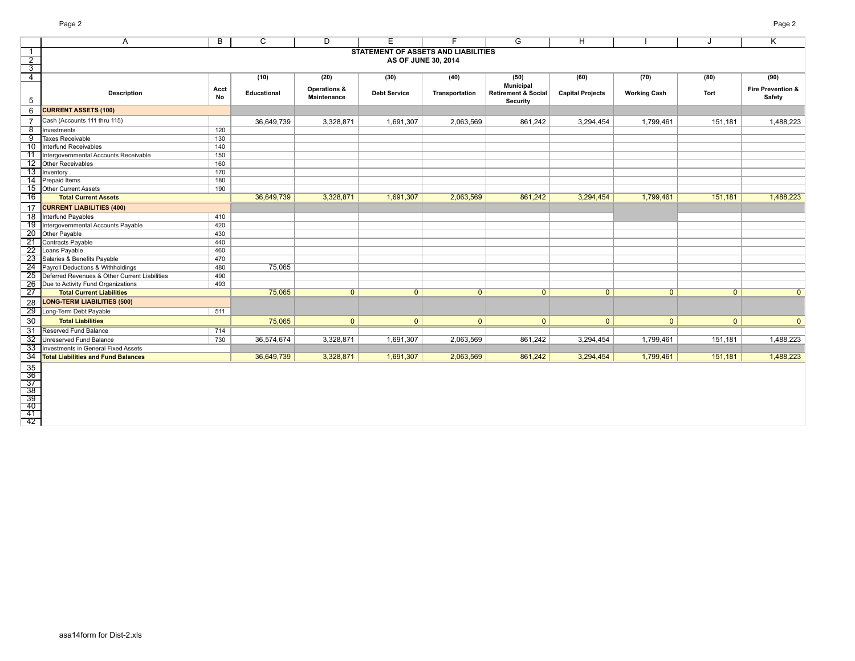|                                                                       | Page 2                                        |            |             |              |                                            |                |                                |                         |                     |              | Page 2                       |
|-----------------------------------------------------------------------|-----------------------------------------------|------------|-------------|--------------|--------------------------------------------|----------------|--------------------------------|-------------------------|---------------------|--------------|------------------------------|
|                                                                       | A                                             | B          | C           | D            | Е                                          | F.             | G                              | H.                      |                     | J            | Κ                            |
| $\overline{1}$                                                        |                                               |            |             |              | <b>STATEMENT OF ASSETS AND LIABILITIES</b> |                |                                |                         |                     |              |                              |
| $\overline{2}$                                                        |                                               |            |             |              | AS OF JUNE 30, 2014                        |                |                                |                         |                     |              |                              |
|                                                                       |                                               |            |             |              |                                            |                |                                |                         |                     |              |                              |
| $\overline{4}$                                                        |                                               |            | (10)        | (20)         | (30)                                       | (40)           | (50)                           | (60)                    | (70)                | (80)         | (90)                         |
|                                                                       |                                               |            |             | Operations & |                                            |                | <b>Municipal</b>               |                         |                     |              | <b>Fire Prevention &amp;</b> |
|                                                                       | <b>Description</b>                            | Acct<br>No | Educational | Maintenance  | <b>Debt Service</b>                        | Transportation | <b>Retirement &amp; Social</b> | <b>Capital Projects</b> | <b>Working Cash</b> | Tort         | Safety                       |
| 5                                                                     |                                               |            |             |              |                                            |                | <b>Security</b>                |                         |                     |              |                              |
| 6                                                                     | <b>CURRENT ASSETS (100)</b>                   |            |             |              |                                            |                |                                |                         |                     |              |                              |
| $\overline{7}$                                                        | Cash (Accounts 111 thru 115)                  |            | 36,649,739  | 3,328,871    | 1,691,307                                  | 2,063,569      | 861,242                        | 3,294,454               | 1,799,461           | 151,181      | 1,488,223                    |
| 8                                                                     | Investments                                   | 120        |             |              |                                            |                |                                |                         |                     |              |                              |
| 9                                                                     | Taxes Receivable                              | 130        |             |              |                                            |                |                                |                         |                     |              |                              |
| 10                                                                    | Interfund Receivables                         | 140        |             |              |                                            |                |                                |                         |                     |              |                              |
| $-11$                                                                 | Intergovernmental Accounts Receivable         | 150        |             |              |                                            |                |                                |                         |                     |              |                              |
| 12                                                                    | Other Receivables                             | 160        |             |              |                                            |                |                                |                         |                     |              |                              |
|                                                                       | 13 Inventory                                  | 170        |             |              |                                            |                |                                |                         |                     |              |                              |
|                                                                       | 14 Prepaid Items                              | 180        |             |              |                                            |                |                                |                         |                     |              |                              |
|                                                                       | 15 Other Current Assets                       | 190        |             |              |                                            |                |                                |                         |                     |              |                              |
| 16                                                                    | <b>Total Current Assets</b>                   |            | 36,649,739  | 3,328,871    | 1,691,307                                  | 2,063,569      | 861,242                        | 3,294,454               | 1,799,461           | 151,181      | 1,488,223                    |
| 17                                                                    | <b>CURRENT LIABILITIES (400)</b>              |            |             |              |                                            |                |                                |                         |                     |              |                              |
| $\overline{18}$                                                       | Interfund Payables                            | 410        |             |              |                                            |                |                                |                         |                     |              |                              |
| 19                                                                    | Intergovernmental Accounts Payable            | 420        |             |              |                                            |                |                                |                         |                     |              |                              |
| $\overline{20}$                                                       | Other Payable                                 | 430        |             |              |                                            |                |                                |                         |                     |              |                              |
|                                                                       | 21 Contracts Payable                          | 440        |             |              |                                            |                |                                |                         |                     |              |                              |
| $\overline{22}$                                                       | Loans Payable                                 | 460        |             |              |                                            |                |                                |                         |                     |              |                              |
| $\overline{23}$                                                       | Salaries & Benefits Payable                   | 470        |             |              |                                            |                |                                |                         |                     |              |                              |
| 24                                                                    | Payroll Deductions & Withholdings             | 480        | 75,065      |              |                                            |                |                                |                         |                     |              |                              |
| 25                                                                    | Deferred Revenues & Other Current Liabilities | 490        |             |              |                                            |                |                                |                         |                     |              |                              |
| 26                                                                    | Due to Activity Fund Organizations            | 493        |             |              |                                            |                |                                |                         |                     |              |                              |
| 27                                                                    | <b>Total Current Liabilities</b>              |            | 75,065      | $\mathbf{0}$ | $\overline{0}$                             | $\mathbf{0}$   | $\mathbf{0}$                   | $\mathbf{0}$            | $\mathbf{0}$        | $\mathbf{0}$ | $\mathbf{0}$                 |
| 28                                                                    | <b>LONG-TERM LIABILITIES (500)</b>            |            |             |              |                                            |                |                                |                         |                     |              |                              |
| $\overline{29}$                                                       | Long-Term Debt Payable                        | 511        |             |              |                                            |                |                                |                         |                     |              |                              |
| 30                                                                    | <b>Total Liabilities</b>                      |            | 75,065      | $\mathbf{0}$ | $\mathbf{0}$                               | $\mathbf{0}$   | $\mathbf{0}$                   | $\mathbf{0}$            | $\mathbf{0}$        | $\mathbf{0}$ | $\mathbf{0}$                 |
| $\overline{31}$                                                       | Reserved Fund Balance                         | 714        |             |              |                                            |                |                                |                         |                     |              |                              |
| 32                                                                    | Unreserved Fund Balance                       | 730        | 36,574,674  | 3,328,871    | 1,691,307                                  | 2,063,569      | 861,242                        | 3,294,454               | 1,799,461           | 151,181      | 1,488,223                    |
| 33                                                                    | Investments in General Fixed Assets           |            |             |              |                                            |                |                                |                         |                     |              |                              |
| 34                                                                    | <b>Total Liabilities and Fund Balances</b>    |            | 36,649,739  | 3,328,871    | 1,691,307                                  | 2,063,569      | 861,242                        | 3,294,454               | 1,799,461           | 151,181      | 1,488,223                    |
|                                                                       |                                               |            |             |              |                                            |                |                                |                         |                     |              |                              |
|                                                                       |                                               |            |             |              |                                            |                |                                |                         |                     |              |                              |
| $\begin{array}{r}\n 35 \\  \hline\n 36 \\  \hline\n 37\n \end{array}$ |                                               |            |             |              |                                            |                |                                |                         |                     |              |                              |
| -38                                                                   |                                               |            |             |              |                                            |                |                                |                         |                     |              |                              |
| 39                                                                    |                                               |            |             |              |                                            |                |                                |                         |                     |              |                              |
| $\frac{1}{40}$                                                        |                                               |            |             |              |                                            |                |                                |                         |                     |              |                              |
| $\frac{41}{42}$                                                       |                                               |            |             |              |                                            |                |                                |                         |                     |              |                              |
|                                                                       |                                               |            |             |              |                                            |                |                                |                         |                     |              |                              |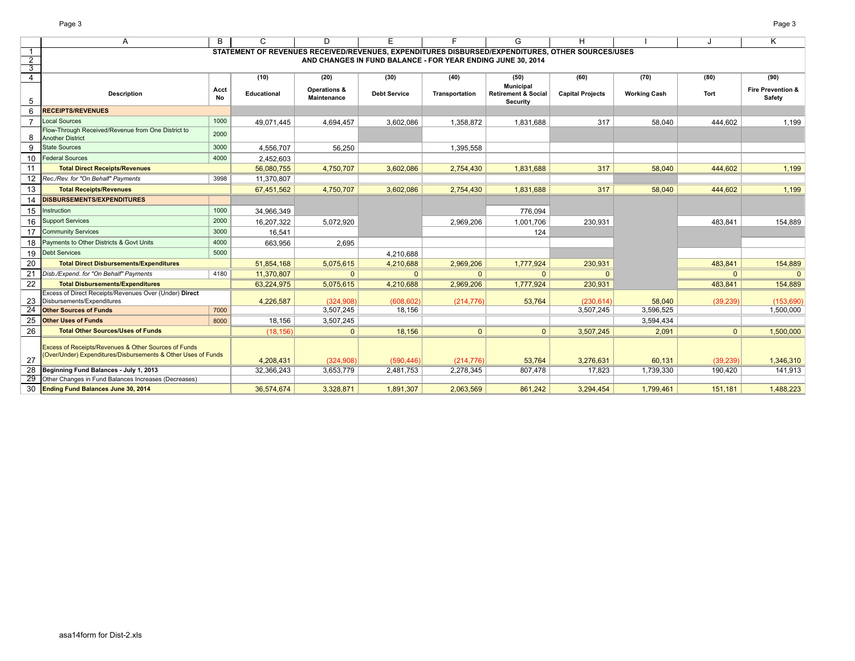F L L

|                                  | Page 3                                                                               |            |                                                                                                  |                                               |                                                             |                |                                                   |                         |                     |              | Page 3                                 |
|----------------------------------|--------------------------------------------------------------------------------------|------------|--------------------------------------------------------------------------------------------------|-----------------------------------------------|-------------------------------------------------------------|----------------|---------------------------------------------------|-------------------------|---------------------|--------------|----------------------------------------|
|                                  | A                                                                                    | B          | C                                                                                                | D                                             | Е                                                           | F              | G                                                 | H.                      |                     |              | K                                      |
| -1                               |                                                                                      |            | STATEMENT OF REVENUES RECEIVED/REVENUES, EXPENDITURES DISBURSED/EXPENDITURES, OTHER SOURCES/USES |                                               |                                                             |                |                                                   |                         |                     |              |                                        |
| $\overline{2}$                   |                                                                                      |            |                                                                                                  |                                               | AND CHANGES IN FUND BALANCE - FOR YEAR ENDING JUNE 30, 2014 |                |                                                   |                         |                     |              |                                        |
| $\overline{3}$<br>$\overline{4}$ |                                                                                      |            | (10)                                                                                             | (20)                                          | (30)                                                        | (40)           | (50)                                              | (60)                    | (70)                | (80)         | (90)                                   |
|                                  |                                                                                      |            |                                                                                                  |                                               |                                                             |                | Municipal                                         |                         |                     |              |                                        |
| 5                                | <b>Description</b>                                                                   | Acct<br>No | <b>Educational</b>                                                                               | <b>Operations &amp;</b><br><b>Maintenance</b> | <b>Debt Service</b>                                         | Transportation | <b>Retirement &amp; Social</b><br><b>Security</b> | <b>Capital Projects</b> | <b>Working Cash</b> | Tort         | <b>Fire Prevention &amp;</b><br>Safety |
| 6                                | <b>RECEIPTS/REVENUES</b>                                                             |            |                                                                                                  |                                               |                                                             |                |                                                   |                         |                     |              |                                        |
|                                  | <b>Local Sources</b>                                                                 | 1000       | 49,071,445                                                                                       | 4,694,457                                     | 3,602,086                                                   | 1,358,872      | 1,831,688                                         | 317                     | 58,040              | 444.602      | 1,199                                  |
| 8                                | Flow-Through Received/Revenue from One District to<br><b>Another District</b>        | 2000       |                                                                                                  |                                               |                                                             |                |                                                   |                         |                     |              |                                        |
| 9                                | <b>State Sources</b>                                                                 | 3000       | 4,556,707                                                                                        | 56,250                                        |                                                             | 1,395,558      |                                                   |                         |                     |              |                                        |
| 10                               | <b>Federal Sources</b>                                                               | 4000       | 2.452.603                                                                                        |                                               |                                                             |                |                                                   |                         |                     |              |                                        |
| 11                               | <b>Total Direct Receipts/Revenues</b>                                                |            | 56,080,755                                                                                       | 4,750,707                                     | 3,602,086                                                   | 2,754,430      | 1,831,688                                         | 317                     | 58,040              | 444.602      | 1,199                                  |
| 12.                              | Rec./Rev. for "On Behalf" Payments                                                   | 3998       | 11,370,807                                                                                       |                                               |                                                             |                |                                                   |                         |                     |              |                                        |
| 13                               | <b>Total Receipts/Revenues</b>                                                       |            | 67,451,562                                                                                       | 4,750,707                                     | 3,602,086                                                   | 2,754,430      | 1,831,688                                         | 317                     | 58,040              | 444,602      | 1,199                                  |
| 14                               | <b>DISBURSEMENTS/EXPENDITURES</b>                                                    |            |                                                                                                  |                                               |                                                             |                |                                                   |                         |                     |              |                                        |
| 15                               | Instruction                                                                          | 1000       | 34,966,349                                                                                       |                                               |                                                             |                | 776,094                                           |                         |                     |              |                                        |
| 16                               | <b>Support Services</b>                                                              | 2000       | 16,207,322                                                                                       | 5,072,920                                     |                                                             | 2,969,206      | 1,001,706                                         | 230,931                 |                     | 483,841      | 154,889                                |
| 17                               | <b>Community Services</b>                                                            | 3000       | 16.541                                                                                           |                                               |                                                             |                | 124                                               |                         |                     |              |                                        |
| 18                               | Payments to Other Districts & Govt Units                                             | 4000       | 663,956                                                                                          | 2,695                                         |                                                             |                |                                                   |                         |                     |              |                                        |
| 19                               | <b>Debt Services</b>                                                                 | 5000       |                                                                                                  |                                               | 4,210,688                                                   |                |                                                   |                         |                     |              |                                        |
| 20                               | <b>Total Direct Disbursements/Expenditures</b>                                       |            | 51,854,168                                                                                       | 5,075,615                                     | 4,210,688                                                   | 2,969,206      | 1,777,924                                         | 230,931                 |                     | 483,841      | 154,889                                |
| 21                               | Disb./Expend. for "On Behalf" Payments                                               | 4180       | 11,370,807                                                                                       | $\Omega$                                      | $\mathbf{0}$                                                | $\Omega$       | $\Omega$                                          | $\Omega$                |                     | $\Omega$     | $\Omega$                               |
| 22                               | <b>Total Disbursements/Expenditures</b>                                              |            | 63,224,975                                                                                       | 5,075,615                                     | 4,210,688                                                   | 2,969,206      | 1,777,924                                         | 230,931                 |                     | 483,841      | 154,889                                |
| 23                               | Excess of Direct Receipts/Revenues Over (Under) Direct<br>Disbursements/Expenditures |            |                                                                                                  | (324, 908)                                    | (608, 602)                                                  |                | 53,764                                            |                         | 58,040              |              |                                        |
| 24                               | <b>Other Sources of Funds</b>                                                        | 7000       | 4,226,587                                                                                        | 3,507,245                                     | 18,156                                                      | (214, 776)     |                                                   | (230, 614)<br>3,507,245 | 3,596,525           | (39, 239)    | (153, 690)<br>1,500,000                |
| 25                               | <b>Other Uses of Funds</b>                                                           | 8000       | 18,156                                                                                           | 3,507,245                                     |                                                             |                |                                                   |                         | 3,594,434           |              |                                        |
| 26                               | <b>Total Other Sources/Uses of Funds</b>                                             |            | (18, 156)                                                                                        | $\mathbf{0}$                                  | 18,156                                                      | $\mathbf{0}$   | $\mathbf{0}$                                      | 3,507,245               | 2,091               | $\mathbf{0}$ | 1,500,000                              |
|                                  |                                                                                      |            |                                                                                                  |                                               |                                                             |                |                                                   |                         |                     |              |                                        |
|                                  | Excess of Receipts/Revenues & Other Sources of Funds                                 |            |                                                                                                  |                                               |                                                             |                |                                                   |                         |                     |              |                                        |
| 27                               | (Over/Under) Expenditures/Disbursements & Other Uses of Funds                        |            | 4,208,431                                                                                        | (324, 908)                                    | (590, 446)                                                  | (214, 776)     | 53,764                                            | 3,276,631               | 60,131              | (39, 239)    | 1,346,310                              |
|                                  | Beginning Fund Balances - July 1, 2013                                               |            | 32,366,243                                                                                       | 3,653,779                                     | 2,481,753                                                   | 2,278,345      | 807,478                                           | 17.823                  | 1,739,330           | 190,420      | 141,913                                |
| 29                               | Other Changes in Fund Balances Increases (Decreases)                                 |            |                                                                                                  |                                               |                                                             |                |                                                   |                         |                     |              |                                        |
| 30                               | <b>Ending Fund Balances June 30, 2014</b>                                            |            | 36,574,674                                                                                       | 3,328,871                                     | 1,891,307                                                   | 2,063,569      | 861,242                                           | 3,294,454               | 1,799,461           | 151,181      | 1,488,223                              |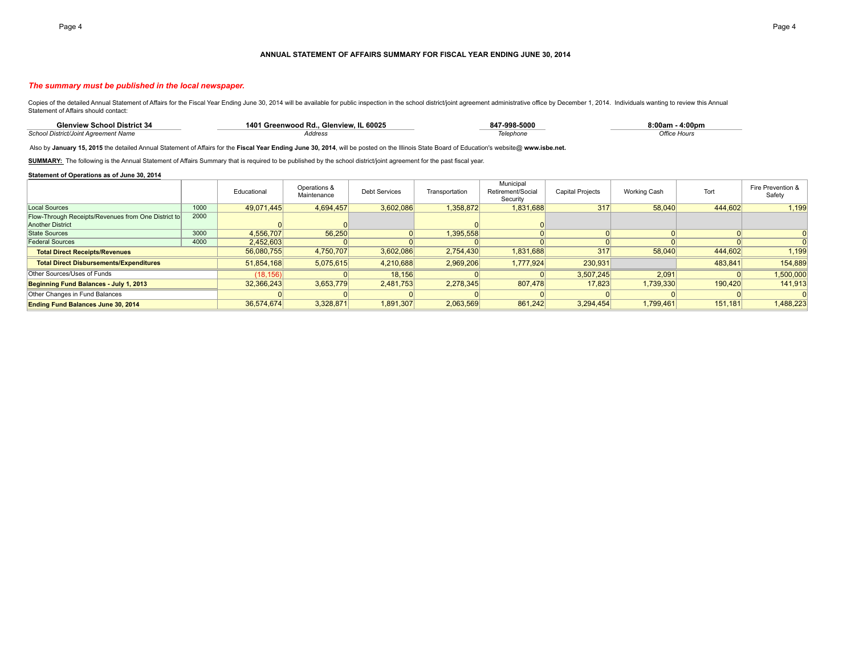#### **ANNUAL STATEMENT OF AFFAIRS SUMMARY FOR FISCAL YEAR ENDING JUNE 30, 2014**

#### *The summary must be published in the local newspaper.*

Copies of the detailed Annual Statement of Affairs for the Fiscal Year Ending June 30, 2014 will be available for public inspection in the school district/joint agreement administrative office by December 1, 2014. Individu Statement of Affairs should contact:

| <b>Glenview School District 34</b>          | 401<br>. Glenview. IL 60025<br>1 Greenwood Rd. | 847-998-5000 | 8:00am<br>4:00pm    |
|---------------------------------------------|------------------------------------------------|--------------|---------------------|
| <b>School District/Joint Agreement Name</b> | Address<br>HUUI <del>c</del> o.                | lelephone    | <b>Office Hours</b> |

Also by **January 15, 2015** the detailed Annual Statement of Affairs for the **Fiscal Year Ending June 30, 2014**, will be posted on the Illinois State Board of Education's website@ **www.isbe.net.**

SUMMARY: The following is the Annual Statement of Affairs Summary that is required to be published by the school district/joint agreement for the past fiscal year.

#### **Statement of Operations as of June 30, 2014**

|                                                     |      | Educational | Operations &<br>Maintenance | <b>Debt Services</b> | Transportation | Municipal<br>Retirement/Social<br>Security | <b>Capital Projects</b> | <b>Working Cash</b> | Tort    | Fire Prevention &<br>Safety |
|-----------------------------------------------------|------|-------------|-----------------------------|----------------------|----------------|--------------------------------------------|-------------------------|---------------------|---------|-----------------------------|
| Local Sources                                       | 1000 | 49,071,445  | 4,694,457                   | 3,602,086            | 1,358,872      | 1,831,688                                  | 317                     | 58,040              | 444,602 | 1,199                       |
| Flow-Through Receipts/Revenues from One District to | 2000 |             |                             |                      |                |                                            |                         |                     |         |                             |
| <b>Another District</b>                             |      |             |                             |                      |                |                                            |                         |                     |         |                             |
| State Sources                                       | 3000 | 4,556,707   | 56,250                      |                      | 1,395,558      |                                            |                         |                     |         |                             |
| Federal Sources                                     | 4000 | 2,452,603   |                             |                      |                |                                            |                         |                     |         |                             |
| <b>Total Direct Receipts/Revenues</b>               |      | 56,080,755  | 4,750,707                   | 3,602,086            | 2,754,430      | 1,831,688                                  | 317                     | 58,040              | 444,602 | 1,199                       |
| <b>Total Direct Disbursements/Expenditures</b>      |      | 51,854,168  | 5,075,615                   | 4,210,688            | 2,969,206      | 1,777,924                                  | 230,931                 |                     | 483,841 | 154,889                     |
| Other Sources/Uses of Funds                         |      | (18, 156)   |                             | 18.156               |                |                                            | 3,507,245               | 2,091               |         | 1,500,000                   |
| Beginning Fund Balances - July 1, 2013              |      | 32,366,243  | 3,653,779                   | 2,481,753            | 2,278,345      | 807,478                                    | 17.823                  | 1,739,330           | 190,420 | 141,913                     |
| Other Changes in Fund Balances                      |      |             |                             |                      |                |                                            |                         |                     |         |                             |
| <b>Ending Fund Balances June 30, 2014</b>           |      | 36,574,674  | 3,328,871                   | 1,891,307            | 2,063,569      | 861,242                                    | 3,294,454               | 1,799,461           | 151,181 | 1,488,223                   |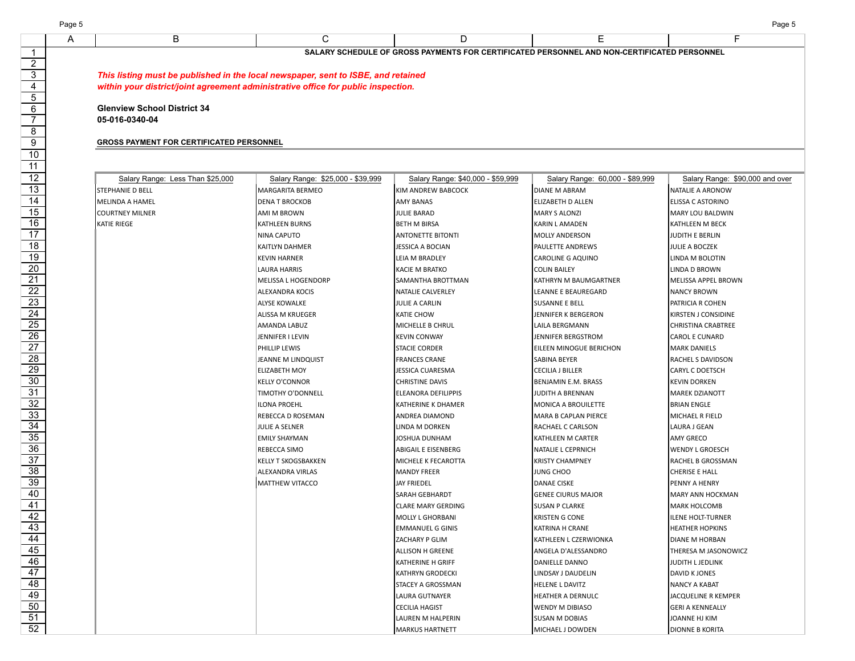| <b>RSONNEL</b><br>. DAV<br>ANL<br>. .<br>GROSS<br>. .<br>IEDUL<br>.<br>=N I 3<br>$-+$<br>ה וה<br>. |  |  |  |  |  |  |  |
|----------------------------------------------------------------------------------------------------|--|--|--|--|--|--|--|

*This listing must be published in the local newspaper, sent to ISBE, and retained within your district/joint agreement administrative office for public inspection.*

**Glenview School District 34 05-016-0340-04**

### **GROSS PAYMENT FOR CERTIFICATED PERSONNEL**

| Salary Range: Less Than \$25,000 | Salary Range: \$25,000 - \$39,999 | Salary Range: \$40,000 - \$59,999 | Salary Range: 60,000 - \$89,999 | Salary Range: \$90,000 and over |
|----------------------------------|-----------------------------------|-----------------------------------|---------------------------------|---------------------------------|
| <b>STEPHANIE D BELL</b>          | <b>MARGARITA BERMEO</b>           | KIM ANDREW BABCOCK                | <b>DIANE M ABRAM</b>            | NATALIE A ARONOW                |
| IMELINDA A HAMEL                 | <b>DENA T BROCKOB</b>             | <b>AMY BANAS</b>                  | ELIZABETH D ALLEN               | ELISSA C ASTORINO               |
| <b>COURTNEY MILNER</b>           | AMI M BROWN                       | <b>JULIE BARAD</b>                | <b>MARY S ALONZI</b>            | MARY LOU BALDWIN                |
| <b>KATIE RIEGE</b>               | KATHLEEN BURNS                    | <b>BETH M BIRSA</b>               | KARIN L AMADEN                  | KATHLEEN M BECK                 |
|                                  | NINA CAPUTO                       | <b>ANTONETTE BITONTI</b>          | <b>MOLLY ANDERSON</b>           | JUDITH E BERLIN                 |
|                                  | KAITLYN DAHMER                    | <b>JESSICA A BOCIAN</b>           | PAULETTE ANDREWS                | JULIE A BOCZEK                  |
|                                  | <b>KEVIN HARNER</b>               | LEIA M BRADLEY                    | CAROLINE G AQUINO               | LINDA M BOLOTIN                 |
|                                  | LAURA HARRIS                      | <b>KACIE M BRATKO</b>             | <b>COLIN BAILEY</b>             | LINDA D BROWN                   |
|                                  | MELISSA L HOGENDORP               | SAMANTHA BROTTMAN                 | KATHRYN M BAUMGARTNER           | MELISSA APPEL BROWN             |
|                                  | ALEXANDRA KOCIS                   | NATALIE CALVERLEY                 | LEANNE E BEAUREGARD             | <b>NANCY BROWN</b>              |
|                                  | <b>ALYSE KOWALKE</b>              | JULIE A CARLIN                    | <b>SUSANNE E BELL</b>           | PATRICIA R COHEN                |
|                                  | ALISSA M KRUEGER                  | <b>KATIE CHOW</b>                 | JENNIFER K BERGERON             | KIRSTEN J CONSIDINE             |
|                                  | AMANDA LABUZ                      | MICHELLE B CHRUL                  | LAILA BERGMANN                  | CHRISTINA CRABTREE              |
|                                  | JENNIFER I LEVIN                  | <b>KEVIN CONWAY</b>               | JENNIFER BERGSTROM              | <b>CAROL E CUNARD</b>           |
|                                  | PHILLIP LEWIS                     | <b>STACIE CORDER</b>              | EILEEN MINOGUE BERICHON         | <b>MARK DANIELS</b>             |
|                                  | JEANNE M LINDQUIST                | <b>FRANCES CRANE</b>              | <b>SABINA BEYER</b>             | RACHEL S DAVIDSON               |
|                                  | <b>ELIZABETH MOY</b>              | <b>JESSICA CUARESMA</b>           | <b>CECILIA J BILLER</b>         | <b>CARYL C DOETSCH</b>          |
|                                  | <b>KELLY O'CONNOR</b>             | <b>CHRISTINE DAVIS</b>            | BENJAMIN E.M. BRASS             | <b>KEVIN DORKEN</b>             |
|                                  | TIMOTHY O'DONNELL                 | <b>ELEANORA DEFILIPPIS</b>        | JUDITH A BRENNAN                | <b>MAREK DZIANOTT</b>           |
|                                  | <b>ILONA PROEHL</b>               | KATHERINE K DHAMER                | MONICA A BROUILETTE             | <b>BRIAN ENGLE</b>              |
|                                  | REBECCA D ROSEMAN                 | <b>ANDREA DIAMOND</b>             | <b>MARA B CAPLAN PIERCE</b>     | MICHAEL R FIELD                 |
|                                  | JULIE A SELNER                    | LINDA M DORKEN                    | RACHAEL C CARLSON               | LAURA J GEAN                    |
|                                  | <b>EMILY SHAYMAN</b>              | <b>JOSHUA DUNHAM</b>              | KATHLEEN M CARTER               | AMY GRECO                       |
|                                  | REBECCA SIMO                      | ABIGAIL E EISENBERG               | NATALIE L CEPRNICH              | <b>WENDY L GROESCH</b>          |
|                                  | <b>KELLY T SKOGSBAKKEN</b>        | MICHELE K FECAROTTA               | <b>KRISTY CHAMPNEY</b>          | RACHEL B GROSSMAN               |
|                                  | ALEXANDRA VIRLAS                  | <b>MANDY FREER</b>                | <b>JUNG CHOO</b>                | CHERISE E HALL                  |
|                                  | MATTHEW VITACCO                   | <b>JAY FRIEDEL</b>                | <b>DANAE CISKE</b>              | PENNY A HENRY                   |
|                                  |                                   | SARAH GEBHARDT                    | <b>GENEE CIURUS MAJOR</b>       | MARY ANN HOCKMAN                |
|                                  |                                   | <b>CLARE MARY GERDING</b>         | <b>SUSAN P CLARKE</b>           | <b>MARK HOLCOMB</b>             |
|                                  |                                   | MOLLY L GHORBANI                  | KRISTEN G CONE                  | <b>ILENE HOLT-TURNER</b>        |
|                                  |                                   | <b>EMMANUEL G GINIS</b>           | KATRINA H CRANE                 | <b>HEATHER HOPKINS</b>          |
|                                  |                                   | ZACHARY P GLIM                    | KATHLEEN L CZERWIONKA           | <b>DIANE M HORBAN</b>           |
|                                  |                                   | <b>ALLISON H GREENE</b>           | ANGELA D'ALESSANDRO             | THERESA M JASONOWICZ            |
|                                  |                                   | KATHERINE H GRIFF                 | DANIELLE DANNO                  | JUDITH L JEDLINK                |
|                                  |                                   | <b>KATHRYN GRODECKI</b>           | LINDSAY J DAUDELIN              | DAVID K JONES                   |
|                                  |                                   | STACEY A GROSSMAN                 | <b>HELENE L DAVITZ</b>          | <b>NANCY A KABAT</b>            |
|                                  |                                   | LAURA GUTNAYER                    | HEATHER A DERNULC               | JACQUELINE R KEMPER             |
|                                  |                                   | <b>CECILIA HAGIST</b>             | <b>WENDY M DIBIASO</b>          | <b>GERI A KENNEALLY</b>         |
|                                  |                                   | LAUREN M HALPERIN                 | <b>SUSAN M DOBIAS</b>           | JOANNE HJ KIM                   |
|                                  |                                   | <b>MARKUS HARTNETT</b>            | MICHAEL J DOWDEN                | <b>DIONNE B KORITA</b>          |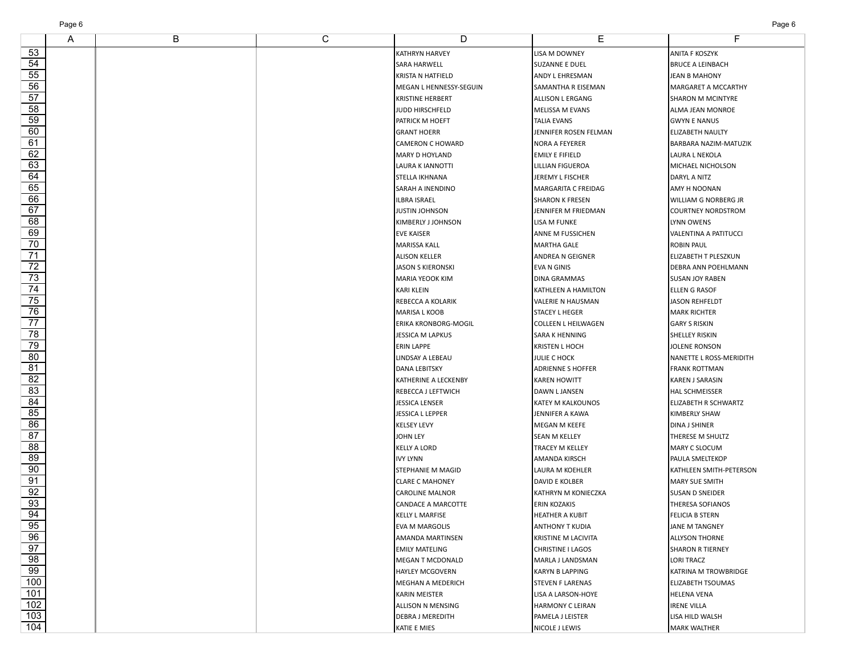| Page 6 | Page 6 |
|--------|--------|
|--------|--------|

| A | B | С | D                           | Е                          | F                           |
|---|---|---|-----------------------------|----------------------------|-----------------------------|
|   |   |   | KATHRYN HARVEY              | LISA M DOWNEY              | ANITA F KOSZYK              |
|   |   |   | SARA HARWELL                | SUZANNE E DUEL             | <b>BRUCE A LEINBACH</b>     |
|   |   |   | KRISTA N HATFIELD           | ANDY L EHRESMAN            | <b>JEAN B MAHONY</b>        |
|   |   |   | MEGAN L HENNESSY-SEGUIN     | SAMANTHA R EISEMAN         | MARGARET A MCCARTHY         |
|   |   |   | <b>KRISTINE HERBERT</b>     | ALLISON L ERGANG           | <b>SHARON M MCINTYRE</b>    |
|   |   |   | JUDD HIRSCHFELD             | <b>MELISSA M EVANS</b>     | ALMA JEAN MONROE            |
|   |   |   | PATRICK M HOEFT             | <b>TALIA EVANS</b>         | <b>GWYN E NANUS</b>         |
|   |   |   | <b>GRANT HOERR</b>          | JENNIFER ROSEN FELMAN      | <b>ELIZABETH NAULTY</b>     |
|   |   |   | <b>CAMERON C HOWARD</b>     | <b>NORA A FEYERER</b>      | BARBARA NAZIM-MATUZIK       |
|   |   |   | <b>MARY D HOYLAND</b>       | <b>EMILY E FIFIELD</b>     | LAURA L NEKOLA              |
|   |   |   | <b>LAURA K JANNOTTI</b>     | LILLIAN FIGUEROA           | MICHAEL NICHOLSON           |
|   |   |   | STELLA IKHNANA              | JEREMY L FISCHER           | DARYL A NITZ                |
|   |   |   | SARAH A INENDINO            | MARGARITA C FREIDAG        | AMY H NOONAN                |
|   |   |   | <b>ILBRA ISRAEL</b>         | <b>SHARON K FRESEN</b>     | <b>WILLIAM G NORBERG JR</b> |
|   |   |   | <b>JUSTIN JOHNSON</b>       | JENNIFER M FRIEDMAN        | <b>COURTNEY NORDSTROM</b>   |
|   |   |   | KIMBERLY J JOHNSON          | LISA M FUNKE               | LYNN OWENS                  |
|   |   |   | <b>EVE KAISER</b>           | <b>ANNE M FUSSICHEN</b>    | VALENTINA A PATITUCCI       |
|   |   |   | <b>MARISSA KALL</b>         | MARTHA GALE                | ROBIN PAUL                  |
|   |   |   | <b>ALISON KELLER</b>        | ANDREA N GEIGNER           | ELIZABETH T PLESZKUN        |
|   |   |   | <b>JASON S KIERONSKI</b>    | <b>EVA N GINIS</b>         | DEBRA ANN POEHLMANN         |
|   |   |   | MARIA YEOOK KIM             | <b>DINA GRAMMAS</b>        | <b>SUSAN JOY RABEN</b>      |
|   |   |   | <b>KARI KLEIN</b>           | KATHLEEN A HAMILTON        | ELLEN G RASOF               |
|   |   |   | REBECCA A KOLARIK           | VALERIE N HAUSMAN          | <b>JASON REHFELDT</b>       |
|   |   |   | <b>MARISA L KOOB</b>        | <b>STACEY L HEGER</b>      | <b>MARK RICHTER</b>         |
|   |   |   | <b>ERIKA KRONBORG-MOGIL</b> | <b>COLLEEN L HEILWAGEN</b> | <b>GARY S RISKIN</b>        |
|   |   |   | <b>JESSICA M LAPKUS</b>     | SARA K HENNING             | <b>SHELLEY RISKIN</b>       |
|   |   |   | <b>ERIN LAPPE</b>           | <b>KRISTEN L HOCH</b>      | <b>JOLENE RONSON</b>        |
|   |   |   | LINDSAY A LEBEAU            | <b>JULIE C HOCK</b>        | NANETTE L ROSS-MERIDITH     |
|   |   |   | <b>DANA LEBITSKY</b>        | ADRIENNE S HOFFER          | <b>FRANK ROTTMAN</b>        |
|   |   |   | KATHERINE A LECKENBY        | KAREN HOWITT               | KAREN J SARASIN             |
|   |   |   | REBECCA J LEFTWICH          | DAWN L JANSEN              | <b>HAL SCHMEISSER</b>       |
|   |   |   | <b>JESSICA LENSER</b>       | KATEY M KALKOUNOS          | ELIZABETH R SCHWARTZ        |
|   |   |   | JESSICA L LEPPER            | JENNIFER A KAWA            | <b>KIMBERLY SHAW</b>        |
|   |   |   | <b>KELSEY LEVY</b>          | MEGAN M KEEFE              | <b>DINA J SHINER</b>        |
|   |   |   | <b>JOHN LEY</b>             | <b>SEAN M KELLEY</b>       | THERESE M SHULTZ            |
|   |   |   | <b>KELLY A LORD</b>         | <b>TRACEY M KELLEY</b>     | MARY C SLOCUM               |
|   |   |   | <b>IVY LYNN</b>             | <b>AMANDA KIRSCH</b>       | PAULA SMELTEKOP             |
|   |   |   | STEPHANIE M MAGID           | LAURA M KOEHLER            | KATHLEEN SMITH-PETERSON     |
|   |   |   | <b>CLARE C MAHONEY</b>      | <b>DAVID E KOLBER</b>      | <b>MARY SUE SMITH</b>       |
|   |   |   | <b>CAROLINE MALNOR</b>      | KATHRYN M KONIECZKA        | <b>SUSAN D SNEIDER</b>      |
|   |   |   | CANDACE A MARCOTTE          | <b>ERIN KOZAKIS</b>        | <b>THERESA SOFIANOS</b>     |
|   |   |   | <b>KELLY L MARFISE</b>      | <b>HEATHER A KUBIT</b>     | <b>FELICIA B STERN</b>      |
|   |   |   | <b>EVA M MARGOLIS</b>       | <b>ANTHONY T KUDIA</b>     | JANE M TANGNEY              |
|   |   |   | AMANDA MARTINSEN            | KRISTINE M LACIVITA        | <b>ALLYSON THORNE</b>       |
|   |   |   | <b>EMILY MATELING</b>       | <b>CHRISTINE I LAGOS</b>   | <b>SHARON R TIERNEY</b>     |
|   |   |   | <b>MEGAN T MCDONALD</b>     | MARLA J LANDSMAN           | LORI TRACZ                  |
|   |   |   | <b>HAYLEY MCGOVERN</b>      | <b>KARYN B LAPPING</b>     | KATRINA M TROWBRIDGE        |
|   |   |   | <b>MEGHAN A MEDERICH</b>    | <b>STEVEN F LARENAS</b>    | ELIZABETH TSOUMAS           |
|   |   |   | <b>KARIN MEISTER</b>        | <b>LISA A LARSON-HOYE</b>  | <b>HELENA VENA</b>          |
|   |   |   | ALLISON N MENSING           | HARMONY C LEIRAN           | IRENE VILLA                 |
|   |   |   | <b>DEBRA J MEREDITH</b>     | PAMELA J LEISTER           | LISA HILD WALSH             |
|   |   |   | KATIE E MIES                | NICOLE J LEWIS             | <b>MARK WALTHER</b>         |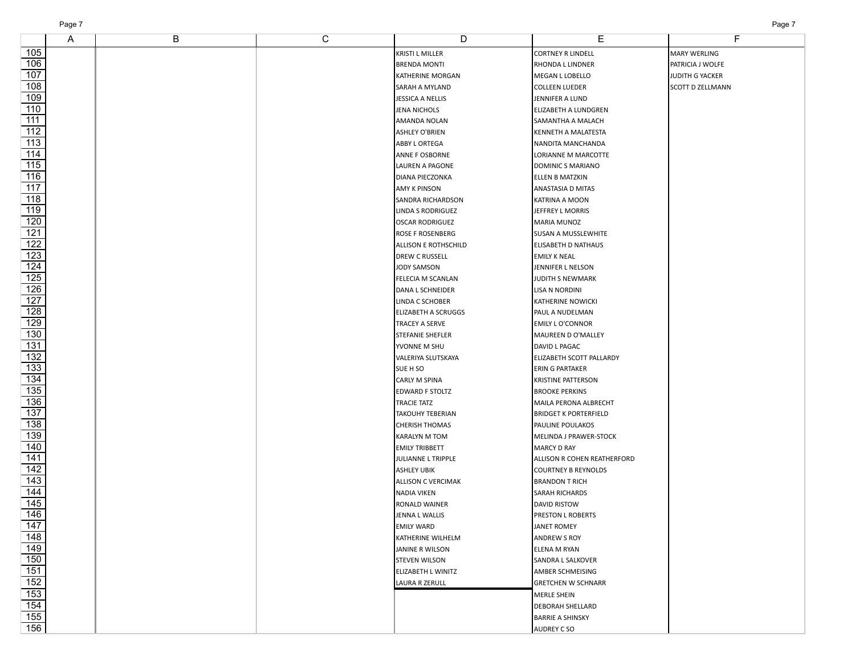| Page 7 |
|--------|
|        |

|                   | A | B | $\overline{C}$ | D                          | Е                            | F                   |
|-------------------|---|---|----------------|----------------------------|------------------------------|---------------------|
| 105               |   |   |                | <b>KRISTI L MILLER</b>     | <b>CORTNEY R LINDELL</b>     | <b>MARY WERLING</b> |
| $\overline{106}$  |   |   |                | <b>BRENDA MONTI</b>        | RHONDA L LINDNER             | PATRICIA J WOLFE    |
| 107               |   |   |                | KATHERINE MORGAN           | MEGAN L LOBELLO              | JUDITH G YACKER     |
| 108               |   |   |                | SARAH A MYLAND             | <b>COLLEEN LUEDER</b>        | SCOTT D ZELLMANN    |
| 109               |   |   |                | JESSICA A NELLIS           | JENNIFER A LUND              |                     |
| 110               |   |   |                | JENA NICHOLS               | ELIZABETH A LUNDGREN         |                     |
| 111               |   |   |                | AMANDA NOLAN               | SAMANTHA A MALACH            |                     |
| $\overline{112}$  |   |   |                | <b>ASHLEY O'BRIEN</b>      | KENNETH A MALATESTA          |                     |
| $\overline{113}$  |   |   |                | ABBY L ORTEGA              | NANDITA MANCHANDA            |                     |
| 114               |   |   |                | ANNE F OSBORNE             | LORIANNE M MARCOTTE          |                     |
| $\overline{115}$  |   |   |                | LAUREN A PAGONE            | <b>DOMINIC S MARIANO</b>     |                     |
| $\overline{116}$  |   |   |                | DIANA PIECZONKA            | ELLEN B MATZKIN              |                     |
| 117               |   |   |                | AMY K PINSON               | ANASTASIA D MITAS            |                     |
| $\overline{118}$  |   |   |                | SANDRA RICHARDSON          | KATRINA A MOON               |                     |
| $\overline{119}$  |   |   |                | LINDA S RODRIGUEZ          | JEFFREY L MORRIS             |                     |
| 120               |   |   |                | <b>OSCAR RODRIGUEZ</b>     | MARIA MUNOZ                  |                     |
| $\overline{121}$  |   |   |                | ROSE F ROSENBERG           | SUSAN A MUSSLEWHITE          |                     |
| $\overline{122}$  |   |   |                | ALLISON E ROTHSCHILD       | ELISABETH D NATHAUS          |                     |
| 123               |   |   |                | <b>DREW C RUSSELL</b>      | <b>EMILY K NEAL</b>          |                     |
| 124               |   |   |                | <b>JODY SAMSON</b>         | JENNIFER L NELSON            |                     |
| $\overline{125}$  |   |   |                | FELECIA M SCANLAN          | JUDITH S NEWMARK             |                     |
| $\overline{126}$  |   |   |                | DANA L SCHNEIDER           | LISA N NORDINI               |                     |
| $\overline{127}$  |   |   |                | LINDA C SCHOBER            | <b>KATHERINE NOWICKI</b>     |                     |
| $\overline{128}$  |   |   |                | <b>ELIZABETH A SCRUGGS</b> | PAUL A NUDELMAN              |                     |
| 129               |   |   |                | TRACEY A SERVE             | <b>EMILY L O'CONNOR</b>      |                     |
| 130               |   |   |                | STEFANIE SHEFLER           | MAUREEN D O'MALLEY           |                     |
| $\overline{131}$  |   |   |                | YVONNE M SHU               | DAVID L PAGAC                |                     |
| $\overline{132}$  |   |   |                | VALERIYA SLUTSKAYA         | ELIZABETH SCOTT PALLARDY     |                     |
| 133               |   |   |                | SUE H SO                   | ERIN G PARTAKER              |                     |
| 134               |   |   |                | CARLY M SPINA              | KRISTINE PATTERSON           |                     |
| $\overline{135}$  |   |   |                | EDWARD F STOLTZ            | <b>BROOKE PERKINS</b>        |                     |
| 136               |   |   |                | TRACIE TATZ                | MAILA PERONA ALBRECHT        |                     |
| $\overline{137}$  |   |   |                | <b>TAKOUHY TEBERIAN</b>    | <b>BRIDGET K PORTERFIELD</b> |                     |
| $\overline{138}$  |   |   |                | <b>CHERISH THOMAS</b>      | PAULINE POULAKOS             |                     |
| $\overline{139}$  |   |   |                | KARALYN M TOM              | MELINDA J PRAWER-STOCK       |                     |
| $\overline{140}$  |   |   |                | <b>EMILY TRIBBETT</b>      | <b>MARCY D RAY</b>           |                     |
| $\overline{141}$  |   |   |                | JULIANNE L TRIPPLE         | ALLISON R COHEN REATHERFORD  |                     |
| 142               |   |   |                | <b>ASHLEY UBIK</b>         | <b>COURTNEY B REYNOLDS</b>   |                     |
| $\overline{143}$  |   |   |                | <b>ALLISON C VERCIMAK</b>  | <b>BRANDON T RICH</b>        |                     |
| 144               |   |   |                | <b>NADIA VIKEN</b>         | SARAH RICHARDS               |                     |
| 145               |   |   |                | RONALD WAINER              | <b>DAVID RISTOW</b>          |                     |
| 146               |   |   |                | JENNA L WALLIS             | <b>PRESTON L ROBERTS</b>     |                     |
| 147               |   |   |                | <b>EMILY WARD</b>          | <b>JANET ROMEY</b>           |                     |
| 148               |   |   |                | KATHERINE WILHELM          | ANDREW S ROY                 |                     |
| $\frac{149}{150}$ |   |   |                | JANINE R WILSON            | ELENA M RYAN                 |                     |
|                   |   |   |                | <b>STEVEN WILSON</b>       | SANDRA L SALKOVER            |                     |
| $\frac{151}{ }$   |   |   |                | ELIZABETH L WINITZ         | AMBER SCHMEISING             |                     |
| $\overline{152}$  |   |   |                | LAURA R ZERULL             | <b>GRETCHEN W SCHNARR</b>    |                     |
| $\overline{153}$  |   |   |                |                            | MERLE SHEIN                  |                     |
| $\frac{154}{155}$ |   |   |                |                            | <b>DEBORAH SHELLARD</b>      |                     |
|                   |   |   |                |                            | <b>BARRIE A SHINSKY</b>      |                     |
| 156               |   |   |                |                            | <b>AUDREY CSO</b>            |                     |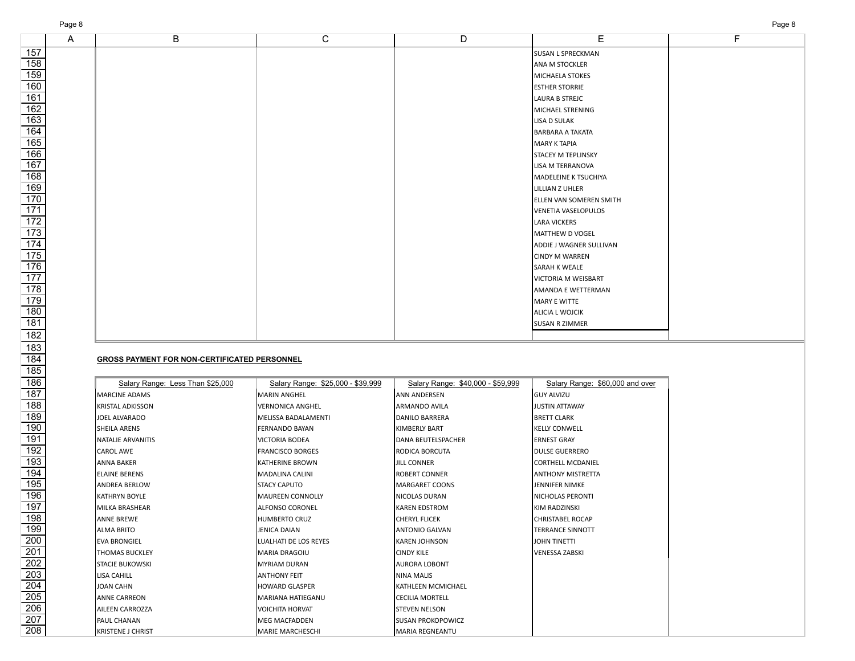| Page 8       |   |                |                |                                | Page 8 |
|--------------|---|----------------|----------------|--------------------------------|--------|
| $\mathsf{A}$ | B | $\overline{C}$ | $\overline{D}$ | Е                              | F.     |
|              |   |                |                | <b>SUSAN L SPRECKMAN</b>       |        |
|              |   |                |                | ANA M STOCKLER                 |        |
|              |   |                |                | MICHAELA STOKES                |        |
|              |   |                |                | <b>ESTHER STORRIE</b>          |        |
|              |   |                |                | LAURA B STREJC                 |        |
|              |   |                |                | MICHAEL STRENING               |        |
|              |   |                |                | <b>LISA D SULAK</b>            |        |
|              |   |                |                | <b>BARBARA A TAKATA</b>        |        |
|              |   |                |                | <b>MARY K TAPIA</b>            |        |
|              |   |                |                | <b>STACEY M TEPLINSKY</b>      |        |
|              |   |                |                | LISA M TERRANOVA               |        |
|              |   |                |                | MADELEINE K TSUCHIYA           |        |
|              |   |                |                | LILLIAN Z UHLER                |        |
|              |   |                |                | <b>ELLEN VAN SOMEREN SMITH</b> |        |
|              |   |                |                | VENETIA VASELOPULOS            |        |
|              |   |                |                | <b>LARA VICKERS</b>            |        |
|              |   |                |                | MATTHEW D VOGEL                |        |
|              |   |                |                | ADDIE J WAGNER SULLIVAN        |        |
|              |   |                |                | <b>CINDY M WARREN</b>          |        |
|              |   |                |                | <b>SARAH K WEALE</b>           |        |
|              |   |                |                | VICTORIA M WEISBART            |        |

AMANDA E WETTERMAN MARY E WITTE ALICIA L WOJCIK SUSAN R ZIMMER

## **GROSS PAYMENT FOR NON-CERTIFICATED PERSONNEL**

| Salary Range: Less Than \$25,000 | Salary Range: \$25,000 - \$39,999 | Salary Range: \$40,000 - \$59,999 | Salary Range: \$60,000 and over |
|----------------------------------|-----------------------------------|-----------------------------------|---------------------------------|
| <b>IMARCINE ADAMS</b>            | <b>MARIN ANGHEL</b>               | <b>ANN ANDERSEN</b>               | IGUY ALVIZU                     |
| IKRISTAL ADKISSON                | <b>VERNONICA ANGHEL</b>           | IARMANDO AVILA                    | IJUSTIN ATTAWAY                 |
| JOEL ALVARADO                    | MELISSA BADALAMENTI               | DANILO BARRERA                    | <b>BRETT CLARK</b>              |
| <b>SHEILA ARENS</b>              | <b>FERNANDO BAYAN</b>             | <b>KIMBERLY BART</b>              | IKELLY CONWELL                  |
| INATALIE ARVANITIS               | <b>VICTORIA BODEA</b>             | <b>DANA BEUTELSPACHER</b>         | <b>ERNEST GRAY</b>              |
| <b>CAROL AWE</b>                 | <b>FRANCISCO BORGES</b>           | <b>IRODICA BORCUTA</b>            | DULSE GUERRERO                  |
| ANNA BAKER                       | KATHERINE BROWN                   | <b>JILL CONNER</b>                | <b>ICORTHELL MCDANIEL</b>       |
| ELAINE BERENS                    | MADALINA CALINI                   | <b>ROBERT CONNER</b>              | ANTHONY MISTRETTA               |
| IANDREA BERLOW                   | <b>STACY CAPUTO</b>               | <b>MARGARET COONS</b>             | IJENNIFER NIMKE                 |
| IKATHRYN BOYLE                   | <b>MAUREEN CONNOLLY</b>           | NICOLAS DURAN                     | INICHOLAS PERONTI               |
| IMILKA BRASHEAR                  | <b>ALFONSO CORONEL</b>            | <b>KAREN EDSTROM</b>              | KIM RADZINSKI                   |
| IANNE BREWE                      | <b>HUMBERTO CRUZ</b>              | <b>CHERYL FLICEK</b>              | <b>I</b> CHRISTABEL ROCAP       |
| IALMA BRITO                      | <b>JENICA DAIAN</b>               | IANTONIO GALVAN                   | <b>TERRANCE SINNOTT</b>         |
| <b>EVA BRONGIEL</b>              | LUALHATI DE LOS REYES             | IKAREN JOHNSON                    | IJOHN TINETTI                   |
| <b>ITHOMAS BUCKLEY</b>           | <b>MARIA DRAGOIU</b>              | <b>CINDY KILE</b>                 | <b>VENESSA ZABSKI</b>           |
| Istacie bukowski                 | <b>MYRIAM DURAN</b>               | <b>AURORA LOBONT</b>              |                                 |
| LISA CAHILL                      | <b>ANTHONY FEIT</b>               | <b>NINA MALIS</b>                 |                                 |
| JOAN CAHN                        | <b>HOWARD GLASPER</b>             | KATHLEEN MCMICHAEL                |                                 |
| <b>ANNE CARREON</b>              | MARIANA HATIEGANU                 | <b>CECILIA MORTELL</b>            |                                 |
| IAILEEN CARROZZA                 | <b>VOICHITA HORVAT</b>            | ISTEVEN NELSON                    |                                 |
| PAUL CHANAN                      | <b>MEG MACFADDEN</b>              | <b>SUSAN PROKOPOWICZ</b>          |                                 |
| IKRISTENE J CHRIST               | <b>I</b> MARIE MARCHESCHI         | <b>MARIA REGNEANTU</b>            |                                 |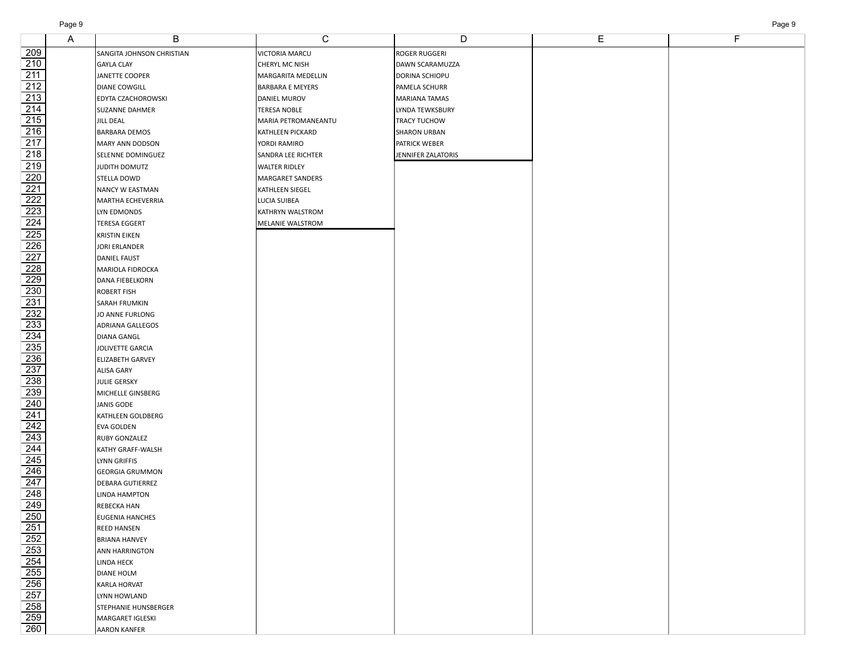|                                                                                                        | A | B                                      | С                       | D                    | Ε | F |
|--------------------------------------------------------------------------------------------------------|---|----------------------------------------|-------------------------|----------------------|---|---|
| 209                                                                                                    |   | SANGITA JOHNSON CHRISTIAN              | VICTORIA MARCU          | ROGER RUGGERI        |   |   |
| 210                                                                                                    |   | <b>GAYLA CLAY</b>                      | CHERYL MC NISH          | DAWN SCARAMUZZA      |   |   |
| $\overline{211}$                                                                                       |   | JANETTE COOPER                         | MARGARITA MEDELLIN      | DORINA SCHIOPU       |   |   |
| $\frac{212}{ }$                                                                                        |   | DIANE COWGILL                          | <b>BARBARA E MEYERS</b> | PAMELA SCHURR        |   |   |
| $\overline{213}$                                                                                       |   | EDYTA CZACHOROWSKI                     | DANIEL MUROV            | <b>MARIANA TAMAS</b> |   |   |
| 214                                                                                                    |   | SUZANNE DAHMER                         | <b>TERESA NOBLE</b>     | LYNDA TEWKSBURY      |   |   |
| $\frac{215}{ }$                                                                                        |   | <b>JILL DEAL</b>                       | MARIA PETROMANEANTU     | TRACY TUCHOW         |   |   |
| $\overline{216}$                                                                                       |   | <b>BARBARA DEMOS</b>                   | KATHLEEN PICKARD        | <b>SHARON URBAN</b>  |   |   |
| $\overline{217}$                                                                                       |   | MARY ANN DODSON                        | YORDI RAMIRO            | PATRICK WEBER        |   |   |
| $\overline{218}$                                                                                       |   | SELENNE DOMINGUEZ                      | SANDRA LEE RICHTER      | JENNIFER ZALATORIS   |   |   |
| $\overline{219}$                                                                                       |   | JUDITH DOMUTZ                          | <b>WALTER RIDLEY</b>    |                      |   |   |
| $\overline{220}$                                                                                       |   | STELLA DOWD                            | MARGARET SANDERS        |                      |   |   |
|                                                                                                        |   | NANCY W EASTMAN                        | KATHLEEN SIEGEL         |                      |   |   |
| $\frac{221}{222}$ $\frac{223}{224}$                                                                    |   | MARTHA ECHEVERRIA                      | LUCIA SUIBEA            |                      |   |   |
|                                                                                                        |   | LYN EDMONDS                            | KATHRYN WALSTROM        |                      |   |   |
|                                                                                                        |   | <b>TERESA EGGERT</b>                   | MELANIE WALSTROM        |                      |   |   |
| $\overline{225}$                                                                                       |   |                                        |                         |                      |   |   |
| $\overline{226}$                                                                                       |   | <b>KRISTIN EIKEN</b>                   |                         |                      |   |   |
|                                                                                                        |   | <b>JORI ERLANDER</b>                   |                         |                      |   |   |
| $\frac{227}{ }$                                                                                        |   | DANIEL FAUST                           |                         |                      |   |   |
| $\frac{228}{ }$<br>229                                                                                 |   | MARIOLA FIDROCKA                       |                         |                      |   |   |
| 230                                                                                                    |   | DANA FIEBELKORN                        |                         |                      |   |   |
| 231                                                                                                    |   | ROBERT FISH                            |                         |                      |   |   |
|                                                                                                        |   | SARAH FRUMKIN                          |                         |                      |   |   |
|                                                                                                        |   | JO ANNE FURLONG                        |                         |                      |   |   |
|                                                                                                        |   | ADRIANA GALLEGOS                       |                         |                      |   |   |
|                                                                                                        |   | DIANA GANGL<br><b>JOLIVETTE GARCIA</b> |                         |                      |   |   |
| 232<br>233<br>2334<br>235<br>235<br>235<br>235<br>235<br>235<br>240<br>241<br>244<br>244<br>245<br>248 |   | <b>ELIZABETH GARVEY</b>                |                         |                      |   |   |
|                                                                                                        |   | ALISA GARY                             |                         |                      |   |   |
|                                                                                                        |   | <b>JULIE GERSKY</b>                    |                         |                      |   |   |
|                                                                                                        |   | MICHELLE GINSBERG                      |                         |                      |   |   |
|                                                                                                        |   | <b>JANIS GODE</b>                      |                         |                      |   |   |
|                                                                                                        |   | KATHLEEN GOLDBERG                      |                         |                      |   |   |
|                                                                                                        |   | EVA GOLDEN                             |                         |                      |   |   |
|                                                                                                        |   | RUBY GONZALEZ                          |                         |                      |   |   |
|                                                                                                        |   | KATHY GRAFF-WALSH                      |                         |                      |   |   |
|                                                                                                        |   | LYNN GRIFFIS                           |                         |                      |   |   |
|                                                                                                        |   | <b>GEORGIA GRUMMON</b>                 |                         |                      |   |   |
|                                                                                                        |   | DEBARA GUTIERREZ                       |                         |                      |   |   |
|                                                                                                        |   | LINDA HAMPTON                          |                         |                      |   |   |
| 249                                                                                                    |   | REBECKA HAN                            |                         |                      |   |   |
| $\boxed{250}$                                                                                          |   | <b>EUGENIA HANCHES</b>                 |                         |                      |   |   |
| $\overline{251}$                                                                                       |   | <b>REED HANSEN</b>                     |                         |                      |   |   |
|                                                                                                        |   | <b>BRIANA HANVEY</b>                   |                         |                      |   |   |
|                                                                                                        |   | ANN HARRINGTON                         |                         |                      |   |   |
|                                                                                                        |   | LINDA HECK                             |                         |                      |   |   |
|                                                                                                        |   | <b>DIANE HOLM</b>                      |                         |                      |   |   |
|                                                                                                        |   | KARLA HORVAT                           |                         |                      |   |   |
|                                                                                                        |   | LYNN HOWLAND                           |                         |                      |   |   |
|                                                                                                        |   | STEPHANIE HUNSBERGER                   |                         |                      |   |   |
| 252<br>253<br>254<br>255<br>256<br>257<br>258<br>259                                                   |   | MARGARET IGLESKI                       |                         |                      |   |   |
| 260                                                                                                    |   | <b>AARON KANFER</b>                    |                         |                      |   |   |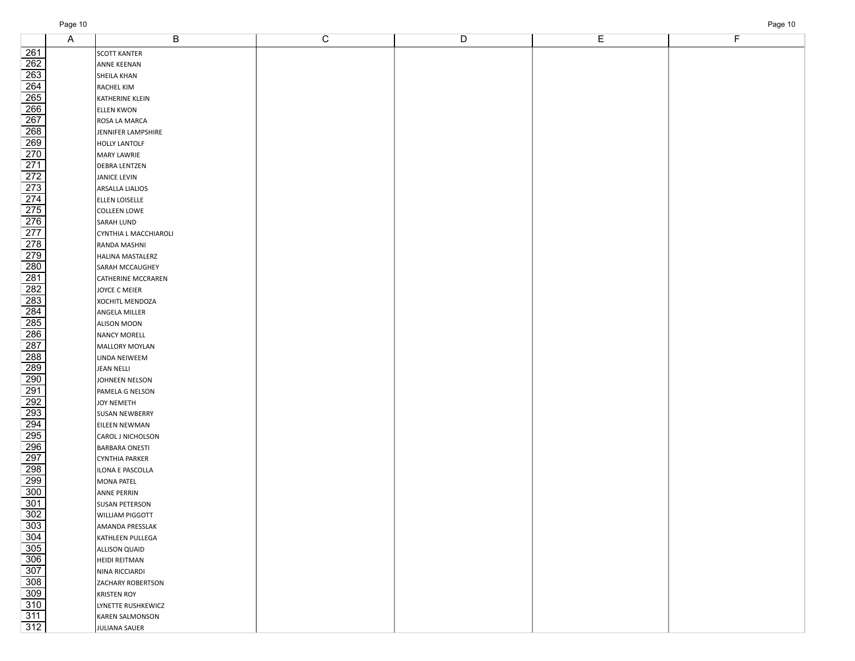|                                                                                                                       | A | B                         | $\mathbf C$ | D | Е | F |
|-----------------------------------------------------------------------------------------------------------------------|---|---------------------------|-------------|---|---|---|
| $\frac{261}{5}$                                                                                                       |   | <b>SCOTT KANTER</b>       |             |   |   |   |
|                                                                                                                       |   | ANNE KEENAN               |             |   |   |   |
|                                                                                                                       |   | SHEILA KHAN               |             |   |   |   |
| $\frac{262}{263}$<br>$\frac{263}{264}$                                                                                |   | RACHEL KIM                |             |   |   |   |
|                                                                                                                       |   | KATHERINE KLEIN           |             |   |   |   |
|                                                                                                                       |   | <b>ELLEN KWON</b>         |             |   |   |   |
|                                                                                                                       |   | ROSA LA MARCA             |             |   |   |   |
|                                                                                                                       |   | JENNIFER LAMPSHIRE        |             |   |   |   |
|                                                                                                                       |   | HOLLY LANTOLF             |             |   |   |   |
|                                                                                                                       |   | <b>MARY LAWRIE</b>        |             |   |   |   |
|                                                                                                                       |   | <b>DEBRA LENTZEN</b>      |             |   |   |   |
|                                                                                                                       |   | <b>JANICE LEVIN</b>       |             |   |   |   |
| 266<br>267<br>268<br>270<br>271<br>272<br>273<br>275<br>275<br>275                                                    |   | <b>ARSALLA LIALIOS</b>    |             |   |   |   |
|                                                                                                                       |   | ELLEN LOISELLE            |             |   |   |   |
|                                                                                                                       |   | <b>COLLEEN LOWE</b>       |             |   |   |   |
|                                                                                                                       |   | <b>SARAH LUND</b>         |             |   |   |   |
|                                                                                                                       |   | CYNTHIA L MACCHIAROLI     |             |   |   |   |
|                                                                                                                       |   | RANDA MASHNI              |             |   |   |   |
|                                                                                                                       |   | HALINA MASTALERZ          |             |   |   |   |
|                                                                                                                       |   | <b>SARAH MCCAUGHEY</b>    |             |   |   |   |
|                                                                                                                       |   | <b>CATHERINE MCCRAREN</b> |             |   |   |   |
|                                                                                                                       |   | JOYCE C MEIER             |             |   |   |   |
|                                                                                                                       |   | XOCHITL MENDOZA           |             |   |   |   |
|                                                                                                                       |   | ANGELA MILLER             |             |   |   |   |
|                                                                                                                       |   | <b>ALISON MOON</b>        |             |   |   |   |
|                                                                                                                       |   | <b>NANCY MORELL</b>       |             |   |   |   |
|                                                                                                                       |   | MALLORY MOYLAN            |             |   |   |   |
|                                                                                                                       |   | LINDA NEIWEEM             |             |   |   |   |
| 277<br>278<br>282 282 283<br>282 283 284<br>282 283 284<br>282 288 289<br>292 293<br>292 293<br>292 293<br>295<br>295 |   | <b>JEAN NELLI</b>         |             |   |   |   |
|                                                                                                                       |   | JOHNEEN NELSON            |             |   |   |   |
|                                                                                                                       |   | PAMELA G NELSON           |             |   |   |   |
|                                                                                                                       |   | <b>JOY NEMETH</b>         |             |   |   |   |
|                                                                                                                       |   | <b>SUSAN NEWBERRY</b>     |             |   |   |   |
|                                                                                                                       |   | EILEEN NEWMAN             |             |   |   |   |
|                                                                                                                       |   | CAROL J NICHOLSON         |             |   |   |   |
|                                                                                                                       |   | <b>BARBARA ONESTI</b>     |             |   |   |   |
|                                                                                                                       |   | CYNTHIA PARKER            |             |   |   |   |
|                                                                                                                       |   | ILONA E PASCOLLA          |             |   |   |   |
|                                                                                                                       |   | MONA PATEL                |             |   |   |   |
| $\overline{300}$                                                                                                      |   | ANNE PERRIN               |             |   |   |   |
| $\overline{301}$                                                                                                      |   | <b>SUSAN PETERSON</b>     |             |   |   |   |
| $\overline{302}$                                                                                                      |   | <b>WILLIAM PIGGOTT</b>    |             |   |   |   |
|                                                                                                                       |   | AMANDA PRESSLAK           |             |   |   |   |
|                                                                                                                       |   | KATHLEEN PULLEGA          |             |   |   |   |
|                                                                                                                       |   | <b>ALLISON QUAID</b>      |             |   |   |   |
| 303<br>304<br>305<br>306<br>308<br>308<br>310<br>311<br>311<br>311                                                    |   | HEIDI REITMAN             |             |   |   |   |
|                                                                                                                       |   | NINA RICCIARDI            |             |   |   |   |
|                                                                                                                       |   | <b>ZACHARY ROBERTSON</b>  |             |   |   |   |
|                                                                                                                       |   | <b>KRISTEN ROY</b>        |             |   |   |   |
|                                                                                                                       |   | LYNETTE RUSHKEWICZ        |             |   |   |   |
|                                                                                                                       |   | <b>KAREN SALMONSON</b>    |             |   |   |   |
|                                                                                                                       |   | JULIANA SAUER             |             |   |   |   |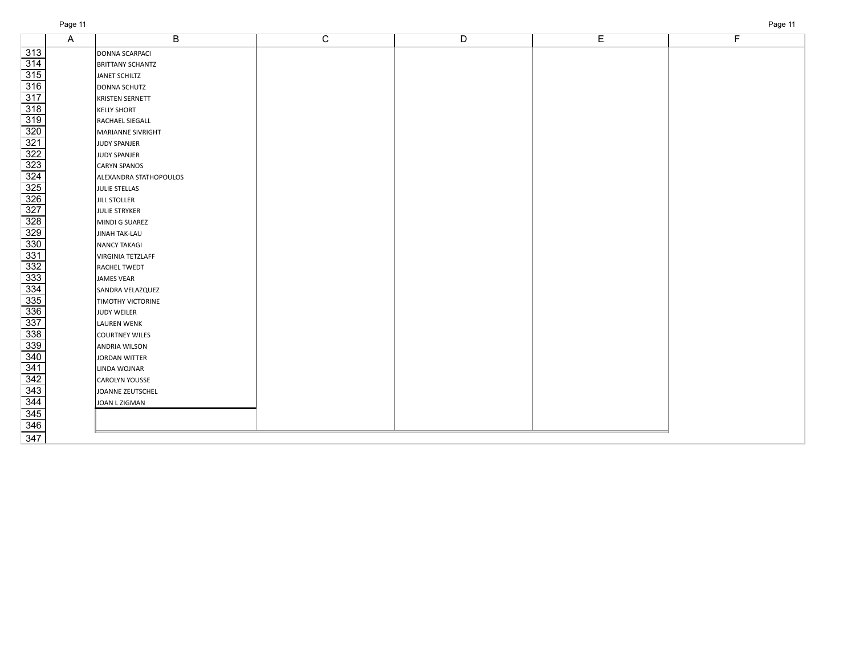| ч∩⊵ | п |
|-----|---|
|     |   |

|                                                                                                                                                                                                                                                                                                                                                                                                                                                                                                                  | Α | B                        | C | $\overline{D}$ | E | F |
|------------------------------------------------------------------------------------------------------------------------------------------------------------------------------------------------------------------------------------------------------------------------------------------------------------------------------------------------------------------------------------------------------------------------------------------------------------------------------------------------------------------|---|--------------------------|---|----------------|---|---|
| $\overline{313}$                                                                                                                                                                                                                                                                                                                                                                                                                                                                                                 |   | DONNA SCARPACI           |   |                |   |   |
| $\overline{314}$                                                                                                                                                                                                                                                                                                                                                                                                                                                                                                 |   | <b>BRITTANY SCHANTZ</b>  |   |                |   |   |
| $\overline{315}$                                                                                                                                                                                                                                                                                                                                                                                                                                                                                                 |   | JANET SCHILTZ            |   |                |   |   |
| $\overline{316}$                                                                                                                                                                                                                                                                                                                                                                                                                                                                                                 |   | DONNA SCHUTZ             |   |                |   |   |
| $\overline{317}$                                                                                                                                                                                                                                                                                                                                                                                                                                                                                                 |   | KRISTEN SERNETT          |   |                |   |   |
|                                                                                                                                                                                                                                                                                                                                                                                                                                                                                                                  |   | <b>KELLY SHORT</b>       |   |                |   |   |
|                                                                                                                                                                                                                                                                                                                                                                                                                                                                                                                  |   | RACHAEL SIEGALL          |   |                |   |   |
|                                                                                                                                                                                                                                                                                                                                                                                                                                                                                                                  |   | MARIANNE SIVRIGHT        |   |                |   |   |
|                                                                                                                                                                                                                                                                                                                                                                                                                                                                                                                  |   | JUDY SPANJER             |   |                |   |   |
|                                                                                                                                                                                                                                                                                                                                                                                                                                                                                                                  |   | JUDY SPANJER             |   |                |   |   |
|                                                                                                                                                                                                                                                                                                                                                                                                                                                                                                                  |   | CARYN SPANOS             |   |                |   |   |
|                                                                                                                                                                                                                                                                                                                                                                                                                                                                                                                  |   | ALEXANDRA STATHOPOULOS   |   |                |   |   |
|                                                                                                                                                                                                                                                                                                                                                                                                                                                                                                                  |   | JULIE STELLAS            |   |                |   |   |
|                                                                                                                                                                                                                                                                                                                                                                                                                                                                                                                  |   | <b>JILL STOLLER</b>      |   |                |   |   |
|                                                                                                                                                                                                                                                                                                                                                                                                                                                                                                                  |   | JULIE STRYKER            |   |                |   |   |
|                                                                                                                                                                                                                                                                                                                                                                                                                                                                                                                  |   | MINDI G SUAREZ           |   |                |   |   |
|                                                                                                                                                                                                                                                                                                                                                                                                                                                                                                                  |   | JINAH TAK-LAU            |   |                |   |   |
|                                                                                                                                                                                                                                                                                                                                                                                                                                                                                                                  |   | <b>NANCY TAKAGI</b>      |   |                |   |   |
|                                                                                                                                                                                                                                                                                                                                                                                                                                                                                                                  |   | VIRGINIA TETZLAFF        |   |                |   |   |
|                                                                                                                                                                                                                                                                                                                                                                                                                                                                                                                  |   | RACHEL TWEDT             |   |                |   |   |
|                                                                                                                                                                                                                                                                                                                                                                                                                                                                                                                  |   | JAMES VEAR               |   |                |   |   |
|                                                                                                                                                                                                                                                                                                                                                                                                                                                                                                                  |   | SANDRA VELAZQUEZ         |   |                |   |   |
|                                                                                                                                                                                                                                                                                                                                                                                                                                                                                                                  |   | <b>TIMOTHY VICTORINE</b> |   |                |   |   |
|                                                                                                                                                                                                                                                                                                                                                                                                                                                                                                                  |   | JUDY WEILER              |   |                |   |   |
|                                                                                                                                                                                                                                                                                                                                                                                                                                                                                                                  |   | <b>LAUREN WENK</b>       |   |                |   |   |
|                                                                                                                                                                                                                                                                                                                                                                                                                                                                                                                  |   | COURTNEY WILES           |   |                |   |   |
|                                                                                                                                                                                                                                                                                                                                                                                                                                                                                                                  |   | <b>ANDRIA WILSON</b>     |   |                |   |   |
|                                                                                                                                                                                                                                                                                                                                                                                                                                                                                                                  |   | <b>JORDAN WITTER</b>     |   |                |   |   |
|                                                                                                                                                                                                                                                                                                                                                                                                                                                                                                                  |   | LINDA WOJNAR             |   |                |   |   |
|                                                                                                                                                                                                                                                                                                                                                                                                                                                                                                                  |   | <b>CAROLYN YOUSSE</b>    |   |                |   |   |
|                                                                                                                                                                                                                                                                                                                                                                                                                                                                                                                  |   | JOANNE ZEUTSCHEL         |   |                |   |   |
|                                                                                                                                                                                                                                                                                                                                                                                                                                                                                                                  |   | JOAN L ZIGMAN            |   |                |   |   |
|                                                                                                                                                                                                                                                                                                                                                                                                                                                                                                                  |   |                          |   |                |   |   |
| $\frac{318}{320} \underline{320} \underline{322} \underline{323} \underline{324} \underline{322} \underline{322} \underline{322} \underline{322} \underline{322} \underline{322} \underline{322} \underline{322} \underline{322} \underline{322} \underline{322} \underline{322} \underline{322} \underline{322} \underline{322} \underline{322} \underline{322} \underline{322} \underline{322} \underline{322} \underline{322} \underline{322} \underline{322} \underline{322} \underline{322} \underline{322$ |   |                          |   |                |   |   |
|                                                                                                                                                                                                                                                                                                                                                                                                                                                                                                                  |   |                          |   |                |   |   |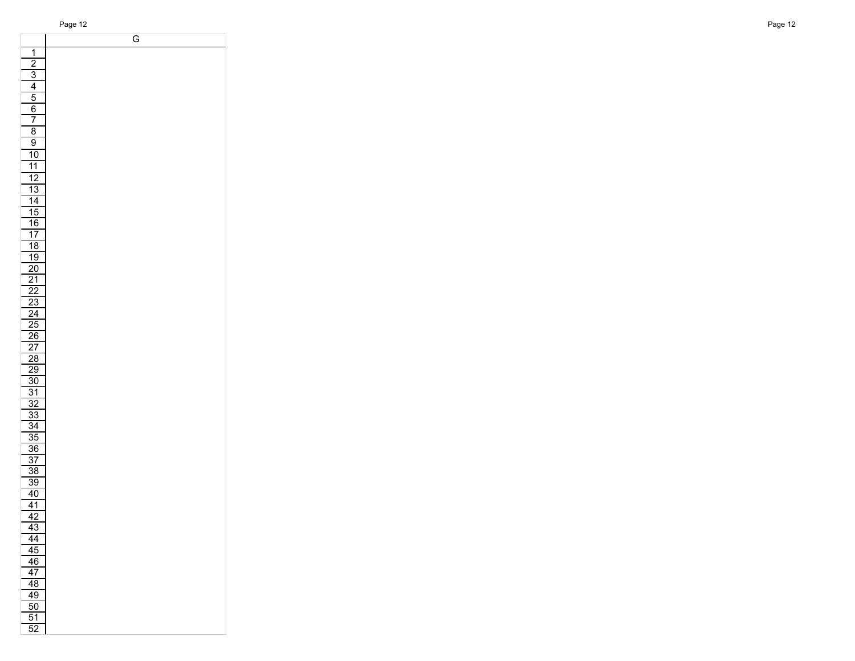T

|                                                       | G |
|-------------------------------------------------------|---|
| $\overline{1}$                                        |   |
|                                                       |   |
| $\frac{2}{3}$ $\frac{4}{5}$ $\frac{5}{6}$             |   |
|                                                       |   |
|                                                       |   |
|                                                       |   |
| $\overline{7}$                                        |   |
|                                                       |   |
| $\frac{8}{9}$                                         |   |
| $\frac{10}{10}$                                       |   |
| $\overline{11}$                                       |   |
|                                                       |   |
| $\frac{12}{13}$<br>$\frac{13}{14}$<br>$\frac{14}{16}$ |   |
|                                                       |   |
|                                                       |   |
|                                                       |   |
|                                                       |   |
| $\frac{17}{18}$                                       |   |
|                                                       |   |
|                                                       |   |
| $\overline{20}$                                       |   |
| $\frac{21}{22}$<br>$\frac{22}{23}$                    |   |
|                                                       |   |
|                                                       |   |
| $\frac{24}{25}$<br>$\frac{25}{26}$                    |   |
|                                                       |   |
|                                                       |   |
| $\overline{27}$                                       |   |
| $\frac{28}{2}$                                        |   |
| $\frac{29}{30}$ $\frac{31}{32}$ $\frac{32}{33}$       |   |
|                                                       |   |
|                                                       |   |
|                                                       |   |
|                                                       |   |
|                                                       |   |
| $\frac{35}{5}$                                        |   |
|                                                       |   |
|                                                       |   |
| $\frac{36}{37}$<br>$\frac{38}{38}$                    |   |
| $\overline{39}$                                       |   |
| 40                                                    |   |
| $\overline{41}$                                       |   |
| $\frac{42}{5}$                                        |   |
| $\overline{43}$                                       |   |
| $\overline{44}$                                       |   |
| 45                                                    |   |
| 46                                                    |   |
| 47                                                    |   |
| 48                                                    |   |
| 49                                                    |   |
| $\overline{50}$                                       |   |
| 51                                                    |   |
| $\overline{52}$                                       |   |
|                                                       |   |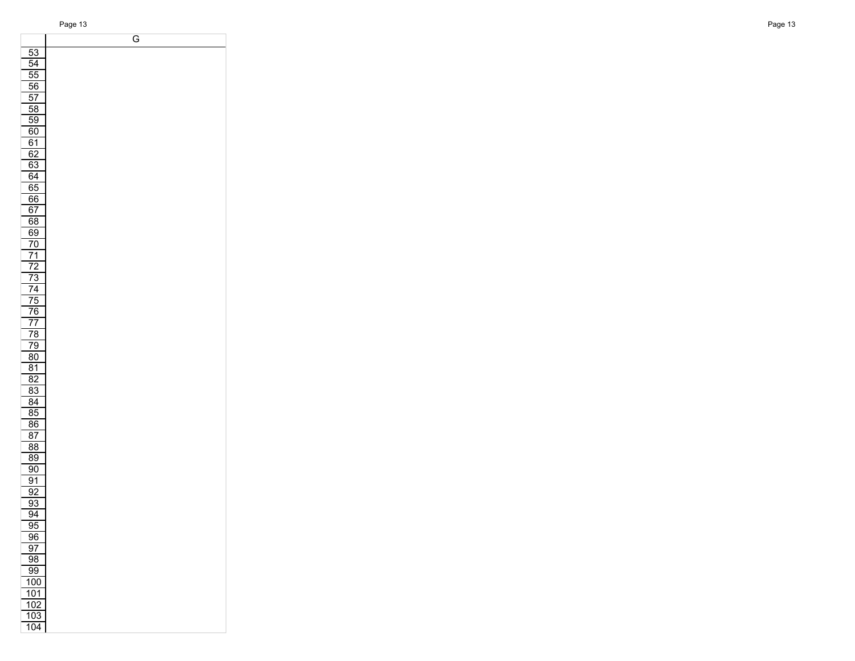G

| 53<br>$\overline{54}$<br>$\overline{55}$<br>$\overline{56}$<br>57<br>58<br>59<br>60<br><u>61</u><br>62<br>$\overline{63}$<br>64<br>65<br>66<br>$\overline{67}$<br>68<br>69<br>$\overline{70}$<br>$\overline{71}$<br>72<br>$\overline{73}$<br>$\overline{74}$<br>$\overline{75}$<br>76<br>$\overline{7}$<br>78<br>79<br>80<br>$\overline{81}$<br>$\frac{1}{82}$<br>$\overline{83}$<br>84<br>$\overline{\text{85}}$<br>86<br>87<br>88<br>89<br>90<br>91<br>$\overline{9}2$<br>93<br>$\overline{94}$<br>95<br>96<br>$\overline{97}$<br>98<br>99<br>100<br>101<br>102<br>103<br>104 |  |
|---------------------------------------------------------------------------------------------------------------------------------------------------------------------------------------------------------------------------------------------------------------------------------------------------------------------------------------------------------------------------------------------------------------------------------------------------------------------------------------------------------------------------------------------------------------------------------|--|
|                                                                                                                                                                                                                                                                                                                                                                                                                                                                                                                                                                                 |  |
|                                                                                                                                                                                                                                                                                                                                                                                                                                                                                                                                                                                 |  |
|                                                                                                                                                                                                                                                                                                                                                                                                                                                                                                                                                                                 |  |
|                                                                                                                                                                                                                                                                                                                                                                                                                                                                                                                                                                                 |  |
|                                                                                                                                                                                                                                                                                                                                                                                                                                                                                                                                                                                 |  |
|                                                                                                                                                                                                                                                                                                                                                                                                                                                                                                                                                                                 |  |
|                                                                                                                                                                                                                                                                                                                                                                                                                                                                                                                                                                                 |  |
|                                                                                                                                                                                                                                                                                                                                                                                                                                                                                                                                                                                 |  |
|                                                                                                                                                                                                                                                                                                                                                                                                                                                                                                                                                                                 |  |
|                                                                                                                                                                                                                                                                                                                                                                                                                                                                                                                                                                                 |  |
|                                                                                                                                                                                                                                                                                                                                                                                                                                                                                                                                                                                 |  |
|                                                                                                                                                                                                                                                                                                                                                                                                                                                                                                                                                                                 |  |
|                                                                                                                                                                                                                                                                                                                                                                                                                                                                                                                                                                                 |  |
|                                                                                                                                                                                                                                                                                                                                                                                                                                                                                                                                                                                 |  |
|                                                                                                                                                                                                                                                                                                                                                                                                                                                                                                                                                                                 |  |
|                                                                                                                                                                                                                                                                                                                                                                                                                                                                                                                                                                                 |  |
|                                                                                                                                                                                                                                                                                                                                                                                                                                                                                                                                                                                 |  |
|                                                                                                                                                                                                                                                                                                                                                                                                                                                                                                                                                                                 |  |
|                                                                                                                                                                                                                                                                                                                                                                                                                                                                                                                                                                                 |  |
|                                                                                                                                                                                                                                                                                                                                                                                                                                                                                                                                                                                 |  |
|                                                                                                                                                                                                                                                                                                                                                                                                                                                                                                                                                                                 |  |
|                                                                                                                                                                                                                                                                                                                                                                                                                                                                                                                                                                                 |  |
|                                                                                                                                                                                                                                                                                                                                                                                                                                                                                                                                                                                 |  |
|                                                                                                                                                                                                                                                                                                                                                                                                                                                                                                                                                                                 |  |
|                                                                                                                                                                                                                                                                                                                                                                                                                                                                                                                                                                                 |  |
|                                                                                                                                                                                                                                                                                                                                                                                                                                                                                                                                                                                 |  |
|                                                                                                                                                                                                                                                                                                                                                                                                                                                                                                                                                                                 |  |
|                                                                                                                                                                                                                                                                                                                                                                                                                                                                                                                                                                                 |  |
|                                                                                                                                                                                                                                                                                                                                                                                                                                                                                                                                                                                 |  |
|                                                                                                                                                                                                                                                                                                                                                                                                                                                                                                                                                                                 |  |
|                                                                                                                                                                                                                                                                                                                                                                                                                                                                                                                                                                                 |  |
|                                                                                                                                                                                                                                                                                                                                                                                                                                                                                                                                                                                 |  |
|                                                                                                                                                                                                                                                                                                                                                                                                                                                                                                                                                                                 |  |
|                                                                                                                                                                                                                                                                                                                                                                                                                                                                                                                                                                                 |  |
|                                                                                                                                                                                                                                                                                                                                                                                                                                                                                                                                                                                 |  |
|                                                                                                                                                                                                                                                                                                                                                                                                                                                                                                                                                                                 |  |
|                                                                                                                                                                                                                                                                                                                                                                                                                                                                                                                                                                                 |  |
|                                                                                                                                                                                                                                                                                                                                                                                                                                                                                                                                                                                 |  |
|                                                                                                                                                                                                                                                                                                                                                                                                                                                                                                                                                                                 |  |
|                                                                                                                                                                                                                                                                                                                                                                                                                                                                                                                                                                                 |  |
|                                                                                                                                                                                                                                                                                                                                                                                                                                                                                                                                                                                 |  |
|                                                                                                                                                                                                                                                                                                                                                                                                                                                                                                                                                                                 |  |
|                                                                                                                                                                                                                                                                                                                                                                                                                                                                                                                                                                                 |  |
|                                                                                                                                                                                                                                                                                                                                                                                                                                                                                                                                                                                 |  |
|                                                                                                                                                                                                                                                                                                                                                                                                                                                                                                                                                                                 |  |
|                                                                                                                                                                                                                                                                                                                                                                                                                                                                                                                                                                                 |  |
|                                                                                                                                                                                                                                                                                                                                                                                                                                                                                                                                                                                 |  |
|                                                                                                                                                                                                                                                                                                                                                                                                                                                                                                                                                                                 |  |
|                                                                                                                                                                                                                                                                                                                                                                                                                                                                                                                                                                                 |  |
|                                                                                                                                                                                                                                                                                                                                                                                                                                                                                                                                                                                 |  |
|                                                                                                                                                                                                                                                                                                                                                                                                                                                                                                                                                                                 |  |
|                                                                                                                                                                                                                                                                                                                                                                                                                                                                                                                                                                                 |  |
|                                                                                                                                                                                                                                                                                                                                                                                                                                                                                                                                                                                 |  |
|                                                                                                                                                                                                                                                                                                                                                                                                                                                                                                                                                                                 |  |
|                                                                                                                                                                                                                                                                                                                                                                                                                                                                                                                                                                                 |  |
|                                                                                                                                                                                                                                                                                                                                                                                                                                                                                                                                                                                 |  |
|                                                                                                                                                                                                                                                                                                                                                                                                                                                                                                                                                                                 |  |
|                                                                                                                                                                                                                                                                                                                                                                                                                                                                                                                                                                                 |  |
|                                                                                                                                                                                                                                                                                                                                                                                                                                                                                                                                                                                 |  |
|                                                                                                                                                                                                                                                                                                                                                                                                                                                                                                                                                                                 |  |
|                                                                                                                                                                                                                                                                                                                                                                                                                                                                                                                                                                                 |  |
|                                                                                                                                                                                                                                                                                                                                                                                                                                                                                                                                                                                 |  |
|                                                                                                                                                                                                                                                                                                                                                                                                                                                                                                                                                                                 |  |
|                                                                                                                                                                                                                                                                                                                                                                                                                                                                                                                                                                                 |  |
|                                                                                                                                                                                                                                                                                                                                                                                                                                                                                                                                                                                 |  |
|                                                                                                                                                                                                                                                                                                                                                                                                                                                                                                                                                                                 |  |
|                                                                                                                                                                                                                                                                                                                                                                                                                                                                                                                                                                                 |  |
|                                                                                                                                                                                                                                                                                                                                                                                                                                                                                                                                                                                 |  |
|                                                                                                                                                                                                                                                                                                                                                                                                                                                                                                                                                                                 |  |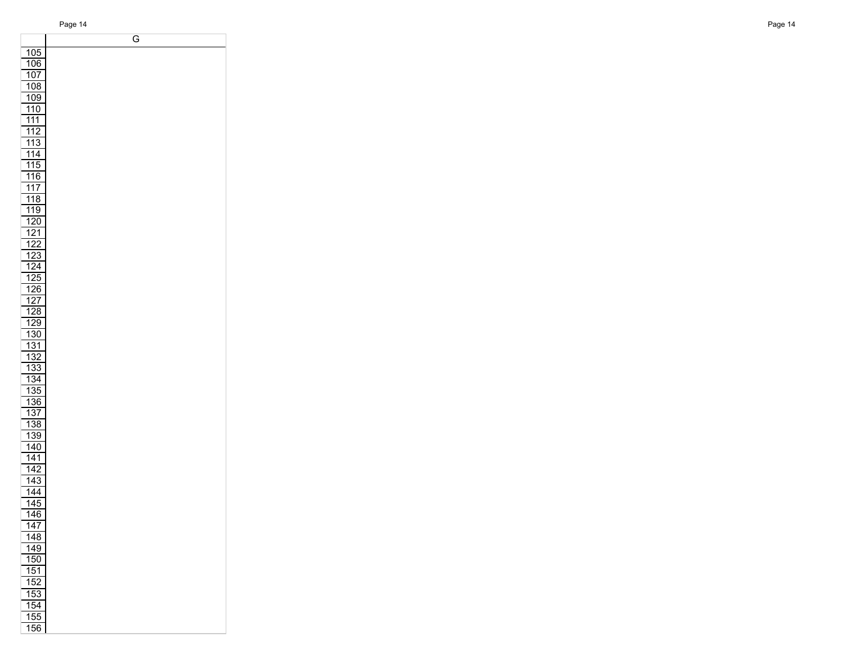G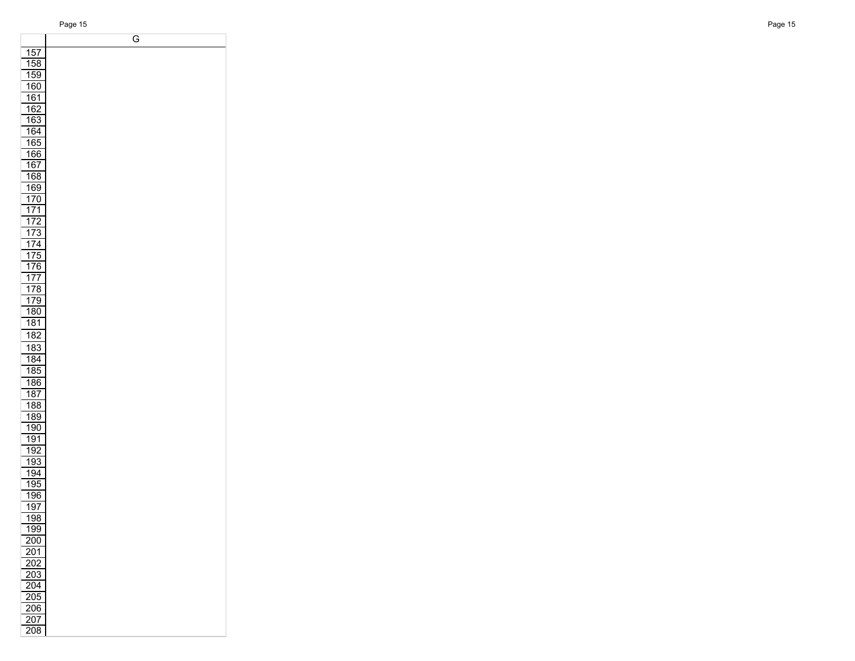|                  | G |
|------------------|---|
| 157              |   |
| 158              |   |
| 159              |   |
| 160              |   |
|                  |   |
| 161              |   |
| 162              |   |
| 163              |   |
| 164              |   |
| 165              |   |
| 166              |   |
| 167              |   |
| 168              |   |
| 169              |   |
| 170              |   |
| 171              |   |
| 172              |   |
| 173              |   |
| 174              |   |
| 175              |   |
| $\overline{1}76$ |   |
| 177              |   |
| 178              |   |
| 179              |   |
| 180              |   |
| 181              |   |
| 182              |   |
|                  |   |
| 183              |   |
| 184              |   |
| 185              |   |
| 186              |   |
| 187              |   |
| 188              |   |
| 189              |   |
| 190              |   |
| 191              |   |
| 192              |   |
| 193              |   |
| 194              |   |
| 195              |   |
| 196              |   |
| 197              |   |
| <u> 198</u>      |   |
| 199              |   |
| 200              |   |
| <u>201</u>       |   |
| <u> 202</u>      |   |
| 203              |   |
| 204              |   |
| 205              |   |
| 206              |   |
| $\overline{207}$ |   |
| 208              |   |
|                  |   |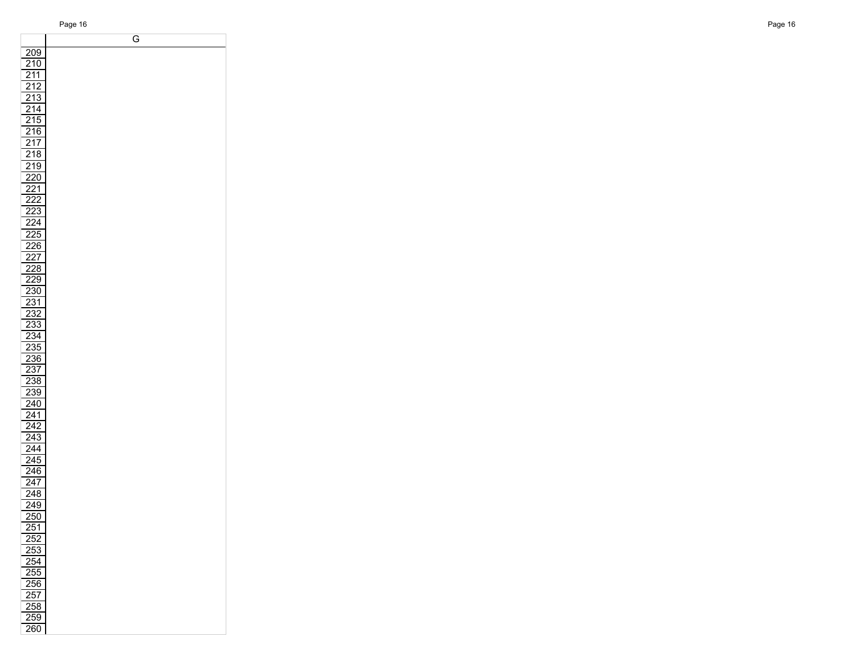|                   | G |
|-------------------|---|
| 209               |   |
|                   |   |
| <u>210</u>        |   |
| $\frac{211}{1}$   |   |
| $\overline{212}$  |   |
| 213               |   |
| $\frac{214}{2}$   |   |
| 215               |   |
| $\overline{216}$  |   |
| $\overline{217}$  |   |
| 218               |   |
|                   |   |
| $\overline{219}$  |   |
| $\frac{220}{ }$   |   |
| <u>221</u>        |   |
| <u> 222</u>       |   |
| 223               |   |
| $\overline{224}$  |   |
| $\overline{225}$  |   |
|                   |   |
| <u>226</u>        |   |
| $\frac{227}{228}$ |   |
|                   |   |
| 229               |   |
| <u>230</u>        |   |
| $\overline{231}$  |   |
| 232               |   |
| 233               |   |
| 234               |   |
| 235               |   |
| 236               |   |
| 237               |   |
| 238               |   |
| 239               |   |
|                   |   |
| $\overline{240}$  |   |
| 241               |   |
| 242               |   |
| $\overline{243}$  |   |
| $\overline{244}$  |   |
| $\frac{245}{ }$   |   |
| $\frac{246}{5}$   |   |
| $\overline{247}$  |   |
| 248               |   |
| 249               |   |
| 250               |   |
| 251               |   |
| 252               |   |
| 253               |   |
| 254               |   |
|                   |   |
| 255               |   |
| 256               |   |
| $\frac{257}{5}$   |   |
| 258               |   |
| 259               |   |
| $\overline{260}$  |   |
|                   |   |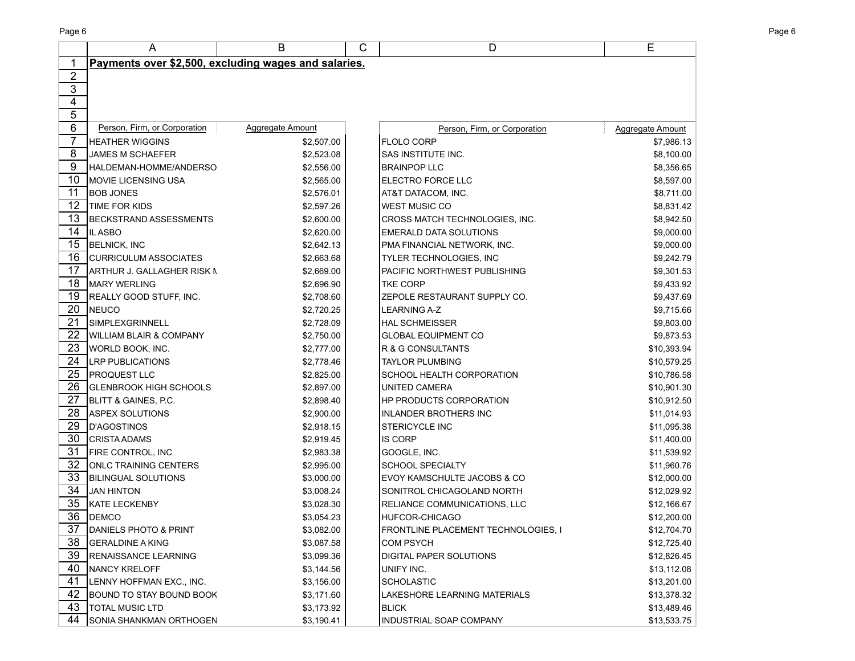|                 | Α                                                    | B                | С | D                                   | E                |
|-----------------|------------------------------------------------------|------------------|---|-------------------------------------|------------------|
|                 | Payments over \$2,500, excluding wages and salaries. |                  |   |                                     |                  |
| $\overline{2}$  |                                                      |                  |   |                                     |                  |
| $\overline{3}$  |                                                      |                  |   |                                     |                  |
| $\overline{4}$  |                                                      |                  |   |                                     |                  |
| 5               |                                                      |                  |   |                                     |                  |
| $6\overline{6}$ | Person, Firm, or Corporation                         | Aggregate Amount |   | Person, Firm, or Corporation        | Aggregate Amount |
| 7               | <b>HEATHER WIGGINS</b>                               | \$2,507.00       |   | <b>FLOLO CORP</b>                   | \$7,986.13       |
| 8               | <b>JAMES M SCHAEFER</b>                              | \$2,523.08       |   | SAS INSTITUTE INC.                  | \$8,100.00       |
| 9               | HALDEMAN-HOMME/ANDERSO                               | \$2,556.00       |   | <b>BRAINPOP LLC</b>                 | \$8,356.65       |
| 10              | MOVIE LICENSING USA                                  | \$2,565.00       |   | ELECTRO FORCE LLC                   | \$8,597.00       |
| 11              | <b>BOB JONES</b>                                     | \$2,576.01       |   | AT&T DATACOM, INC.                  | \$8,711.00       |
| 12              | TIME FOR KIDS                                        | \$2,597.26       |   | <b>WEST MUSIC CO</b>                | \$8,831.42       |
| 13              | <b>BECKSTRAND ASSESSMENTS</b>                        | \$2,600.00       |   | CROSS MATCH TECHNOLOGIES, INC.      | \$8,942.50       |
| 14              | IL ASBO                                              | \$2,620.00       |   | <b>EMERALD DATA SOLUTIONS</b>       | \$9,000.00       |
| 15              | <b>BELNICK, INC</b>                                  | \$2,642.13       |   | PMA FINANCIAL NETWORK, INC.         | \$9,000.00       |
| 16              | <b>CURRICULUM ASSOCIATES</b>                         | \$2,663.68       |   | TYLER TECHNOLOGIES, INC             | \$9,242.79       |
| 17              | ARTHUR J. GALLAGHER RISK N                           | \$2,669.00       |   | PACIFIC NORTHWEST PUBLISHING        | \$9,301.53       |
| 18              | <b>MARY WERLING</b>                                  | \$2,696.90       |   | <b>TKE CORP</b>                     | \$9,433.92       |
| 19              | REALLY GOOD STUFF, INC.                              | \$2,708.60       |   | ZEPOLE RESTAURANT SUPPLY CO.        | \$9,437.69       |
| 20              | NEUCO                                                | \$2,720.25       |   | <b>LEARNING A-Z</b>                 | \$9,715.66       |
| 21              | <b>SIMPLEXGRINNELL</b>                               | \$2,728.09       |   | <b>HAL SCHMEISSER</b>               | \$9,803.00       |
| 22              | <b>WILLIAM BLAIR &amp; COMPANY</b>                   | \$2,750.00       |   | <b>GLOBAL EQUIPMENT CO</b>          | \$9,873.53       |
| 23              | WORLD BOOK, INC.                                     | \$2,777.00       |   | <b>R &amp; G CONSULTANTS</b>        | \$10,393.94      |
| 24              | <b>LRP PUBLICATIONS</b>                              | \$2,778.46       |   | <b>TAYLOR PLUMBING</b>              | \$10,579.25      |
| 25              | <b>PROQUEST LLC</b>                                  | \$2,825.00       |   | SCHOOL HEALTH CORPORATION           | \$10,786.58      |
| 26              | <b>GLENBROOK HIGH SCHOOLS</b>                        | \$2,897.00       |   | UNITED CAMERA                       | \$10,901.30      |
| 27              | <b>BLITT &amp; GAINES, P.C.</b>                      | \$2,898.40       |   | HP PRODUCTS CORPORATION             | \$10,912.50      |
| 28              | <b>ASPEX SOLUTIONS</b>                               | \$2,900.00       |   | <b>INLANDER BROTHERS INC</b>        | \$11,014.93      |
| 29              | <b>D'AGOSTINOS</b>                                   | \$2,918.15       |   | <b>STERICYCLE INC</b>               | \$11,095.38      |
| 30              | <b>CRISTA ADAMS</b>                                  | \$2,919.45       |   | <b>IS CORP</b>                      | \$11,400.00      |
| 31              | <b>FIRE CONTROL, INC</b>                             | \$2,983.38       |   | GOOGLE, INC.                        | \$11,539.92      |
| 32              | <b>ONLC TRAINING CENTERS</b>                         | \$2,995.00       |   | <b>SCHOOL SPECIALTY</b>             | \$11,960.76      |
| 33              | <b>BILINGUAL SOLUTIONS</b>                           | \$3,000.00       |   | EVOY KAMSCHULTE JACOBS & CO         | \$12,000.00      |
| 34              | <b>JAN HINTON</b>                                    | \$3,008.24       |   | SONITROL CHICAGOLAND NORTH          | \$12,029.92      |
| 35              | <b>KATE LECKENBY</b>                                 | \$3,028.30       |   | RELIANCE COMMUNICATIONS, LLC        | \$12,166.67      |
| 36              | DEMCO                                                | \$3,054.23       |   | HUFCOR-CHICAGO                      | \$12,200.00      |
| 37              | DANIELS PHOTO & PRINT                                | \$3,082.00       |   | FRONTLINE PLACEMENT TECHNOLOGIES, I | \$12,704.70      |
| 38              | <b>GERALDINE A KING</b>                              | \$3,087.58       |   | <b>COM PSYCH</b>                    | \$12,725.40      |
| 39              | <b>RENAISSANCE LEARNING</b>                          | \$3,099.36       |   | DIGITAL PAPER SOLUTIONS             | \$12,826.45      |
| 40              | NANCY KRELOFF                                        | \$3,144.56       |   | UNIFY INC.                          | \$13,112.08      |
| 41              | LENNY HOFFMAN EXC., INC.                             | \$3,156.00       |   | SCHOLASTIC                          | \$13,201.00      |
| 42              | <b>BOUND TO STAY BOUND BOOK</b>                      | \$3,171.60       |   | LAKESHORE LEARNING MATERIALS        | \$13,378.32      |
| 43              | <b>TOTAL MUSIC LTD</b>                               | \$3,173.92       |   | <b>BLICK</b>                        | \$13,489.46      |
| 44              | SONIA SHANKMAN ORTHOGEN                              | \$3,190.41       |   | INDUSTRIAL SOAP COMPANY             | \$13,533.75      |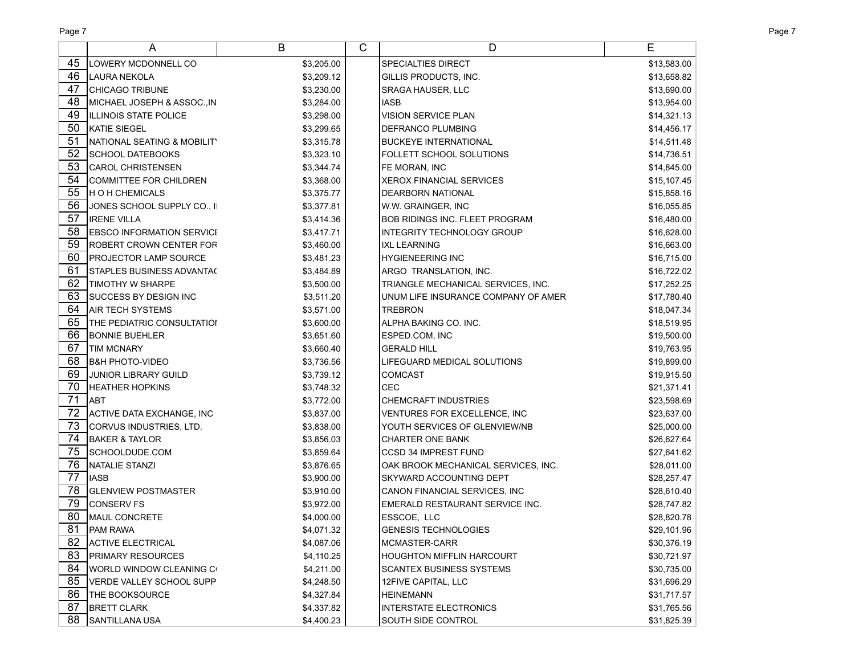Page 7 Page 7

|    | A                                 | B          | C | D                                   | E           |
|----|-----------------------------------|------------|---|-------------------------------------|-------------|
| 45 | <b>LOWERY MCDONNELL CO</b>        | \$3,205.00 |   | <b>SPECIALTIES DIRECT</b>           | \$13,583.00 |
| 46 | <b>I</b> LAURA NEKOLA             | \$3,209.12 |   | GILLIS PRODUCTS, INC.               | \$13,658.82 |
| 47 | <b>CHICAGO TRIBUNE</b>            | \$3,230.00 |   | SRAGA HAUSER, LLC                   | \$13,690.00 |
| 48 | MICHAEL JOSEPH & ASSOC.,IN        | \$3,284.00 |   | <b>IASB</b>                         | \$13,954.00 |
| 49 | <b>ILLINOIS STATE POLICE</b>      | \$3,298.00 |   | <b>VISION SERVICE PLAN</b>          | \$14,321.13 |
| 50 | KATIE SIEGEL                      | \$3,299.65 |   | <b>DEFRANCO PLUMBING</b>            | \$14,456.17 |
| 51 | NATIONAL SEATING & MOBILITY       | \$3,315.78 |   | BUCKEYE INTERNATIONAL               | \$14,511.48 |
| 52 | <b>SCHOOL DATEBOOKS</b>           | \$3,323.10 |   | <b>FOLLETT SCHOOL SOLUTIONS</b>     | \$14,736.51 |
| 53 | <b>CAROL CHRISTENSEN</b>          | \$3,344.74 |   | FE MORAN, INC                       | \$14,845.00 |
| 54 | <b>COMMITTEE FOR CHILDREN</b>     | \$3,368.00 |   | <b>XEROX FINANCIAL SERVICES</b>     | \$15,107.45 |
| 55 | <b>HOH CHEMICALS</b>              | \$3,375.77 |   | <b>DEARBORN NATIONAL</b>            | \$15,858.16 |
| 56 | JONES SCHOOL SUPPLY CO., II       | \$3,377.81 |   | W.W. GRAINGER, INC                  | \$16,055.85 |
| 57 | <b>IRENE VILLA</b>                | \$3,414.36 |   | BOB RIDINGS INC. FLEET PROGRAM      | \$16,480.00 |
| 58 | <b>EBSCO INFORMATION SERVICI</b>  | \$3,417.71 |   | <b>INTEGRITY TECHNOLOGY GROUP</b>   | \$16,628.00 |
| 59 | <b>ROBERT CROWN CENTER FOR</b>    | \$3,460.00 |   | <b>IXL LEARNING</b>                 | \$16,663.00 |
| 60 | <b>PROJECTOR LAMP SOURCE</b>      | \$3,481.23 |   | HYGIENEERING INC                    | \$16,715.00 |
| 61 | <b>STAPLES BUSINESS ADVANTA(</b>  | \$3,484.89 |   | ARGO TRANSLATION, INC.              | \$16,722.02 |
| 62 | <b>TIMOTHY W SHARPE</b>           | \$3,500.00 |   | TRIANGLE MECHANICAL SERVICES, INC.  | \$17,252.25 |
| 63 | <b>SUCCESS BY DESIGN INC</b>      | \$3,511.20 |   | UNUM LIFE INSURANCE COMPANY OF AMER | \$17,780.40 |
| 64 | <b>AIR TECH SYSTEMS</b>           | \$3,571.00 |   | <b>TREBRON</b>                      | \$18,047.34 |
| 65 | <b>THE PEDIATRIC CONSULTATIOI</b> | \$3,600.00 |   | IALPHA BAKING CO. INC.              | \$18,519.95 |
| 66 | <b>BONNIE BUEHLER</b>             | \$3,651.60 |   | ESPED.COM, INC                      | \$19,500.00 |
| 67 | <b>TIM MCNARY</b>                 | \$3,660.40 |   | <b>GERALD HILL</b>                  | \$19,763.95 |
| 68 | <b>B&amp;H PHOTO-VIDEO</b>        | \$3,736.56 |   | LIFEGUARD MEDICAL SOLUTIONS         | \$19,899.00 |
| 69 | <b>JUNIOR LIBRARY GUILD</b>       | \$3,739.12 |   | <b>COMCAST</b>                      | \$19,915.50 |
| 70 | <b>HEATHER HOPKINS</b>            | \$3,748.32 |   | CEC                                 | \$21,371.41 |
| 71 | <b>ABT</b>                        | \$3,772.00 |   | <b>CHEMCRAFT INDUSTRIES</b>         | \$23,598.69 |
| 72 | ACTIVE DATA EXCHANGE, INC         | \$3,837.00 |   | VENTURES FOR EXCELLENCE, INC        | \$23,637.00 |
| 73 | CORVUS INDUSTRIES, LTD.           | \$3,838.00 |   | YOUTH SERVICES OF GLENVIEW/NB       | \$25,000.00 |
| 74 | <b>BAKER &amp; TAYLOR</b>         | \$3,856.03 |   | <b>CHARTER ONE BANK</b>             | \$26,627.64 |
| 75 | SCHOOLDUDE.COM                    | \$3,859.64 |   | <b>CCSD 34 IMPREST FUND</b>         | \$27,641.62 |
| 76 | NATALIE STANZI                    | \$3,876.65 |   | OAK BROOK MECHANICAL SERVICES, INC. | \$28,011.00 |
| 77 | <b>IASB</b>                       | \$3,900.00 |   | <b>SKYWARD ACCOUNTING DEPT</b>      | \$28,257.47 |
| 78 | <b>GLENVIEW POSTMASTER</b>        | \$3,910.00 |   | CANON FINANCIAL SERVICES, INC       | \$28,610.40 |
| 79 | <b>CONSERV FS</b>                 | \$3,972.00 |   | EMERALD RESTAURANT SERVICE INC.     | \$28,747.82 |
| 80 | <b>MAUL CONCRETE</b>              | \$4,000.00 |   | ESSCOE, LLC                         | \$28,820.78 |
| 81 | <b>PAM RAWA</b>                   | \$4,071.32 |   | <b>GENESIS TECHNOLOGIES</b>         | \$29,101.96 |
| 82 | <b>ACTIVE ELECTRICAL</b>          | \$4,087.06 |   | MCMASTER-CARR                       | \$30,376.19 |
| 83 | <b>PRIMARY RESOURCES</b>          | \$4,110.25 |   | <b>HOUGHTON MIFFLIN HARCOURT</b>    | \$30,721.97 |
| 84 | WORLD WINDOW CLEANING C           | \$4,211.00 |   | <b>SCANTEX BUSINESS SYSTEMS</b>     | \$30,735.00 |
| 85 | VERDE VALLEY SCHOOL SUPP          | \$4,248.50 |   | 12FIVE CAPITAL, LLC                 | \$31,696.29 |
| 86 | <b>THE BOOKSOURCE</b>             | \$4,327.84 |   | <b>HEINEMANN</b>                    | \$31,717.57 |
| 87 | <b>BRETT CLARK</b>                | \$4,337.82 |   | <b>INTERSTATE ELECTRONICS</b>       | \$31,765.56 |
| 88 | SANTILLANA USA                    | \$4,400.23 |   | SOUTH SIDE CONTROL                  | \$31,825.39 |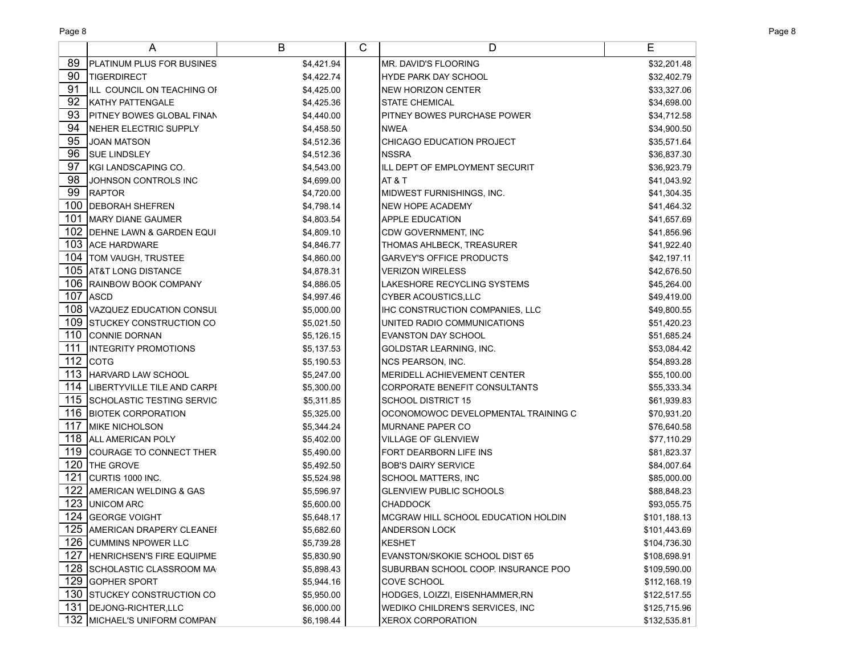|     | A                                 | B          | C | D                                   | Е            |
|-----|-----------------------------------|------------|---|-------------------------------------|--------------|
| 89  | PLATINUM PLUS FOR BUSINES         | \$4,421.94 |   | MR. DAVID'S FLOORING                | \$32,201.48  |
| 90  | TIGERDIRECT                       | \$4,422.74 |   | HYDE PARK DAY SCHOOL                | \$32,402.79  |
| 91  | ILL COUNCIL ON TEACHING OF        | \$4,425.00 |   | NEW HORIZON CENTER                  | \$33,327.06  |
| 92  | <b>KATHY PATTENGALE</b>           | \$4,425.36 |   | <b>STATE CHEMICAL</b>               | \$34,698.00  |
| 93  | PITNEY BOWES GLOBAL FINAN         | \$4,440.00 |   | <b>PITNEY BOWES PURCHASE POWER</b>  | \$34,712.58  |
| 94  | NEHER ELECTRIC SUPPLY             | \$4,458.50 |   | INWEA                               | \$34,900.50  |
| 95  | <b>JOAN MATSON</b>                | \$4,512.36 |   | CHICAGO EDUCATION PROJECT           | \$35,571.64  |
| 96  | <b>SUE LINDSLEY</b>               | \$4,512.36 |   | INSSRA                              | \$36,837.30  |
| 97  | KGI LANDSCAPING CO.               | \$4,543.00 |   | ILL DEPT OF EMPLOYMENT SECURIT      | \$36,923.79  |
| 98  | JOHNSON CONTROLS INC              | \$4,699.00 |   | AT & T                              | \$41,043.92  |
| 99  | <b>RAPTOR</b>                     | \$4,720.00 |   | MIDWEST FURNISHINGS, INC.           | \$41,304.35  |
|     | 100 DEBORAH SHEFREN               | \$4,798.14 |   | NEW HOPE ACADEMY                    | \$41,464.32  |
| 101 | MARY DIANE GAUMER                 | \$4,803.54 |   | <b>APPLE EDUCATION</b>              | \$41,657.69  |
|     | 102 DEHNE LAWN & GARDEN EQUI      | \$4,809.10 |   | CDW GOVERNMENT, INC                 | \$41,856.96  |
|     | 103 ACE HARDWARE                  | \$4,846.77 |   | <b>THOMAS AHLBECK, TREASURER</b>    | \$41,922.40  |
|     | 104   TOM VAUGH, TRUSTEE          | \$4,860.00 |   | <b>GARVEY'S OFFICE PRODUCTS</b>     | \$42,197.11  |
|     | 105 AT&T LONG DISTANCE            | \$4,878.31 |   | <b>VERIZON WIRELESS</b>             | \$42,676.50  |
|     | 106 RAINBOW BOOK COMPANY          | \$4,886.05 |   | LAKESHORE RECYCLING SYSTEMS         | \$45,264.00  |
| 107 | <b>ASCD</b>                       | \$4,997.46 |   | CYBER ACOUSTICS,LLC                 | \$49,419.00  |
|     | 108 VAZQUEZ EDUCATION CONSUL      | \$5,000.00 |   | IHC CONSTRUCTION COMPANIES, LLC     | \$49,800.55  |
| 109 | <b>STUCKEY CONSTRUCTION CO.</b>   | \$5,021.50 |   | UNITED RADIO COMMUNICATIONS         | \$51,420.23  |
| 110 | <b>CONNIE DORNAN</b>              | \$5,126.15 |   | <b>EVANSTON DAY SCHOOL</b>          | \$51,685.24  |
| 111 | <b>INTEGRITY PROMOTIONS</b>       | \$5,137.53 |   | GOLDSTAR LEARNING, INC.             | \$53,084.42  |
|     | 112 $ $ COTG                      | \$5,190.53 |   | NCS PEARSON, INC.                   | \$54,893.28  |
| 113 | HARVARD LAW SCHOOL                | \$5,247.00 |   | MERIDELL ACHIEVEMENT CENTER         | \$55,100.00  |
|     | 114  LIBERTYVILLE TILE AND CARPE  | \$5,300.00 |   | CORPORATE BENEFIT CONSULTANTS       | \$55,333.34  |
| 115 | <b>SCHOLASTIC TESTING SERVIC</b>  | \$5,311.85 |   | <b>SCHOOL DISTRICT 15</b>           | \$61,939.83  |
| 116 | <b>BIOTEK CORPORATION</b>         | \$5,325.00 |   | OCONOMOWOC DEVELOPMENTAL TRAINING C | \$70,931.20  |
| 117 | <b>MIKE NICHOLSON</b>             | \$5,344.24 |   | MURNANE PAPER CO                    | \$76,640.58  |
|     | 118 ALL AMERICAN POLY             | \$5,402.00 |   | <b>VILLAGE OF GLENVIEW</b>          | \$77,110.29  |
|     | 119 COURAGE TO CONNECT THER       | \$5,490.00 |   | FORT DEARBORN LIFE INS              | \$81,823.37  |
| 120 | THE GROVE                         | \$5,492.50 |   | <b>BOB'S DAIRY SERVICE</b>          | \$84,007.64  |
| 121 | CURTIS 1000 INC.                  | \$5,524.98 |   | SCHOOL MATTERS, INC                 | \$85,000.00  |
| 122 | <b>AMERICAN WELDING &amp; GAS</b> | \$5,596.97 |   | <b>GLENVIEW PUBLIC SCHOOLS</b>      | \$88,848.23  |
| 123 | <b>UNICOM ARC</b>                 | \$5,600.00 |   | <b>CHADDOCK</b>                     | \$93,055.75  |
|     | 124 GEORGE VOIGHT                 | \$5,648.17 |   | MCGRAW HILL SCHOOL EDUCATION HOLDIN | \$101,188.13 |
|     | 125 AMERICAN DRAPERY CLEANER      | \$5,682.60 |   | ANDERSON LOCK                       | \$101,443.69 |
|     | 126 CUMMINS NPOWER LLC            | \$5,739.28 |   | KESHET                              | \$104,736.30 |
|     | 127 HENRICHSEN'S FIRE EQUIPME     | \$5,830.90 |   | EVANSTON/SKOKIE SCHOOL DIST 65      | \$108,698.91 |
|     | 128 SCHOLASTIC CLASSROOM MA       | \$5,898.43 |   | SUBURBAN SCHOOL COOP. INSURANCE POO | \$109,590.00 |
|     | 129 GOPHER SPORT                  | \$5,944.16 |   | <b>COVE SCHOOL</b>                  | \$112,168.19 |
|     | 130 STUCKEY CONSTRUCTION CO.      | \$5,950.00 |   | HODGES, LOIZZI, EISENHAMMER,RN      | \$122,517.55 |
|     | 131   DEJONG-RICHTER, LLC         | \$6,000.00 |   | WEDIKO CHILDREN'S SERVICES, INC     | \$125,715.96 |
|     | 132 MICHAEL'S UNIFORM COMPAN      | \$6,198.44 |   | <b>XEROX CORPORATION</b>            | \$132,535.81 |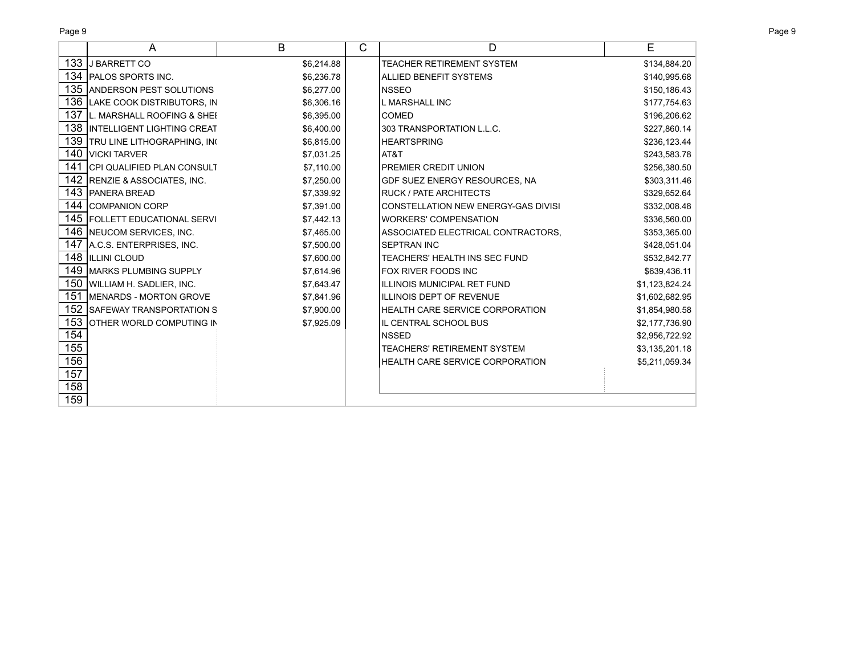| Page 9<br>Page 9 |
|------------------|
|------------------|

|     | A                                      | B          | C | D                                      | Е              |
|-----|----------------------------------------|------------|---|----------------------------------------|----------------|
|     | 133 J BARRETT CO                       | \$6,214.88 |   | <b>TEACHER RETIREMENT SYSTEM</b>       | \$134,884.20   |
|     | 134 PALOS SPORTS INC.                  | \$6,236.78 |   | ALLIED BENEFIT SYSTEMS                 | \$140,995.68   |
|     | 135 ANDERSON PEST SOLUTIONS            | \$6,277.00 |   | INSSEO                                 | \$150,186.43   |
|     | 136 LAKE COOK DISTRIBUTORS, IN         | \$6,306.16 |   | IL MARSHALL INC                        | \$177,754.63   |
|     | 137 IL. MARSHALL ROOFING & SHEI        | \$6,395.00 |   | <b>COMED</b>                           | \$196,206.62   |
|     | <b>138 IINTELLIGENT LIGHTING CREAT</b> | \$6,400.00 |   | 303 TRANSPORTATION L.L.C.              | \$227,860.14   |
|     | 139 TRU LINE LITHOGRAPHING, INC        | \$6,815.00 |   | <b>HEARTSPRING</b>                     | \$236,123.44   |
|     | 140 VICKI TARVER                       | \$7,031.25 |   | AT&T                                   | \$243,583.78   |
|     | 141 CPI QUALIFIED PLAN CONSULT         | \$7,110.00 |   | PREMIER CREDIT UNION                   | \$256,380.50   |
|     | 142 RENZIE & ASSOCIATES, INC.          | \$7,250.00 |   | GDF SUEZ ENERGY RESOURCES, NA          | \$303,311.46   |
|     | 143 PANERA BREAD                       | \$7,339.92 |   | <b>RUCK / PATE ARCHITECTS</b>          | \$329,652.64   |
|     | 144 COMPANION CORP                     | \$7,391.00 |   | CONSTELLATION NEW ENERGY-GAS DIVISI    | \$332,008.48   |
|     | 145 FOLLETT EDUCATIONAL SERVI          | \$7,442.13 |   | <b>WORKERS' COMPENSATION</b>           | \$336,560.00   |
|     | 146 NEUCOM SERVICES, INC.              | \$7,465.00 |   | ASSOCIATED ELECTRICAL CONTRACTORS,     | \$353,365.00   |
|     | 147 A.C.S. ENTERPRISES, INC.           | \$7,500.00 |   | <b>SEPTRAN INC</b>                     | \$428,051.04   |
|     | 148 ILLINI CLOUD                       | \$7,600.00 |   | TEACHERS' HEALTH INS SEC FUND          | \$532,842.77   |
|     | 149 MARKS PLUMBING SUPPLY              | \$7,614.96 |   | FOX RIVER FOODS INC                    | \$639,436.11   |
|     | 150 WILLIAM H. SADLIER, INC.           | \$7,643.47 |   | ILLINOIS MUNICIPAL RET FUND            | \$1,123,824.24 |
|     | 151 MENARDS - MORTON GROVE             | \$7,841.96 |   | <b>ILLINOIS DEPT OF REVENUE</b>        | \$1,602,682.95 |
|     | 152 SAFEWAY TRANSPORTATION S           | \$7,900.00 |   | <b>HEALTH CARE SERVICE CORPORATION</b> | \$1,854,980.58 |
| 153 | <b>OTHER WORLD COMPUTING IN</b>        | \$7,925.09 |   | IL CENTRAL SCHOOL BUS                  | \$2,177,736.90 |
| 154 |                                        |            |   | <b>INSSED</b>                          | \$2,956,722.92 |
| 155 |                                        |            |   | <b>TEACHERS' RETIREMENT SYSTEM</b>     | \$3,135,201.18 |
| 156 |                                        |            |   | <b>HEALTH CARE SERVICE CORPORATION</b> | \$5,211,059.34 |
| 157 |                                        |            |   |                                        |                |
| 158 |                                        |            |   |                                        |                |
| 159 |                                        |            |   |                                        |                |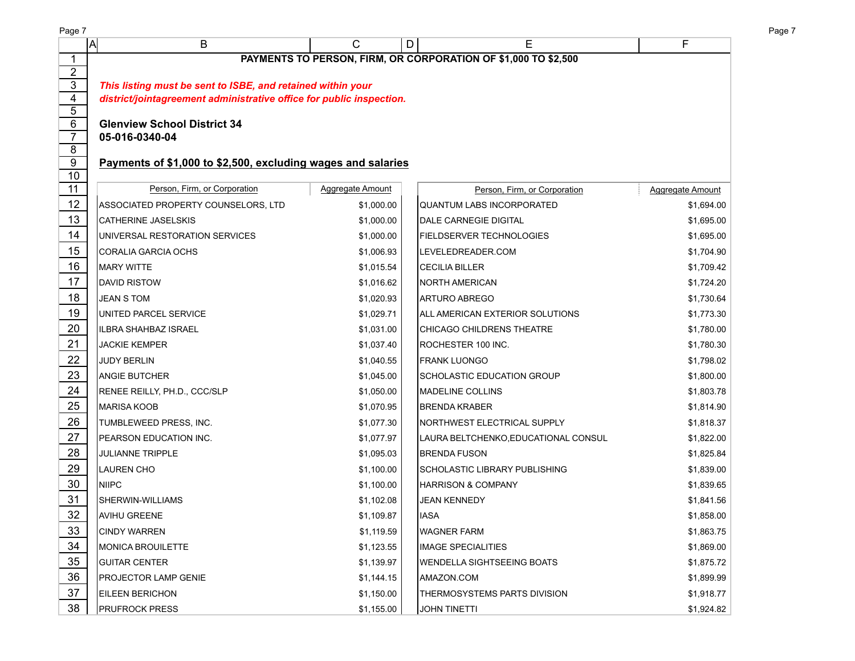| Page 7                         |                                                                                                                                     |                         |                                                                |                         |  |  |  |  |  |  |
|--------------------------------|-------------------------------------------------------------------------------------------------------------------------------------|-------------------------|----------------------------------------------------------------|-------------------------|--|--|--|--|--|--|
|                                | A<br>B                                                                                                                              | C                       | E<br>D                                                         | F                       |  |  |  |  |  |  |
| 1                              |                                                                                                                                     |                         | PAYMENTS TO PERSON, FIRM, OR CORPORATION OF \$1,000 TO \$2,500 |                         |  |  |  |  |  |  |
| $\overline{2}$<br>$\mathbf{3}$ |                                                                                                                                     |                         |                                                                |                         |  |  |  |  |  |  |
| 4                              | This listing must be sent to ISBE, and retained within your<br>district/jointagreement administrative office for public inspection. |                         |                                                                |                         |  |  |  |  |  |  |
| 5                              |                                                                                                                                     |                         |                                                                |                         |  |  |  |  |  |  |
| 6                              | <b>Glenview School District 34</b>                                                                                                  |                         |                                                                |                         |  |  |  |  |  |  |
| $\overline{7}$                 | 05-016-0340-04                                                                                                                      |                         |                                                                |                         |  |  |  |  |  |  |
| 8                              |                                                                                                                                     |                         |                                                                |                         |  |  |  |  |  |  |
| 9<br>10                        | Payments of \$1,000 to \$2,500, excluding wages and salaries                                                                        |                         |                                                                |                         |  |  |  |  |  |  |
| 11                             | Person, Firm, or Corporation                                                                                                        | <b>Aggregate Amount</b> | Person, Firm, or Corporation                                   | <b>Aggregate Amount</b> |  |  |  |  |  |  |
| 12                             | ASSOCIATED PROPERTY COUNSELORS, LTD                                                                                                 | \$1,000.00              | QUANTUM LABS INCORPORATED                                      | \$1,694.00              |  |  |  |  |  |  |
| 13                             | <b>CATHERINE JASELSKIS</b>                                                                                                          | \$1,000.00              | <b>DALE CARNEGIE DIGITAL</b>                                   | \$1,695.00              |  |  |  |  |  |  |
| 14                             | UNIVERSAL RESTORATION SERVICES                                                                                                      | \$1,000.00              | <b>FIELDSERVER TECHNOLOGIES</b>                                | \$1,695.00              |  |  |  |  |  |  |
| 15                             | CORALIA GARCIA OCHS                                                                                                                 | \$1,006.93              | LEVELEDREADER.COM                                              | \$1,704.90              |  |  |  |  |  |  |
| 16                             | <b>MARY WITTE</b>                                                                                                                   | \$1,015.54              | CECILIA BILLER                                                 | \$1,709.42              |  |  |  |  |  |  |
| 17                             | DAVID RISTOW                                                                                                                        | \$1,016.62              | NORTH AMERICAN                                                 | \$1,724.20              |  |  |  |  |  |  |
| 18                             | <b>JEAN S TOM</b>                                                                                                                   | \$1,020.93              | <b>ARTURO ABREGO</b>                                           | \$1,730.64              |  |  |  |  |  |  |
| 19                             | UNITED PARCEL SERVICE                                                                                                               | \$1,029.71              | ALL AMERICAN EXTERIOR SOLUTIONS                                | \$1,773.30              |  |  |  |  |  |  |
| 20                             | IILBRA SHAHBAZ ISRAEL                                                                                                               | \$1,031.00              | <b>CHICAGO CHILDRENS THEATRE</b>                               | \$1,780.00              |  |  |  |  |  |  |
| 21                             | <b>JACKIE KEMPER</b>                                                                                                                | \$1,037.40              | ROCHESTER 100 INC.                                             | \$1,780.30              |  |  |  |  |  |  |
| 22                             | <b>JUDY BERLIN</b>                                                                                                                  | \$1,040.55              | FRANK LUONGO                                                   | \$1,798.02              |  |  |  |  |  |  |
| 23                             | <b>ANGIE BUTCHER</b>                                                                                                                | \$1,045.00              | SCHOLASTIC EDUCATION GROUP                                     | \$1,800.00              |  |  |  |  |  |  |
| 24                             | RENEE REILLY, PH.D., CCC/SLP                                                                                                        | \$1,050.00              | MADELINE COLLINS                                               | \$1,803.78              |  |  |  |  |  |  |
| 25                             | MARISA KOOB                                                                                                                         | \$1,070.95              | <b>BRENDA KRABER</b>                                           | \$1,814.90              |  |  |  |  |  |  |
| 26                             | TUMBLEWEED PRESS, INC.                                                                                                              | \$1,077.30              | NORTHWEST ELECTRICAL SUPPLY                                    | \$1,818.37              |  |  |  |  |  |  |
| 27                             | PEARSON EDUCATION INC.                                                                                                              | \$1,077.97              | LAURA BELTCHENKO, EDUCATIONAL CONSUL                           | \$1,822.00              |  |  |  |  |  |  |
| 28                             | <b>JULIANNE TRIPPLE</b>                                                                                                             | \$1,095.03              | <b>BRENDA FUSON</b>                                            | \$1,825.84              |  |  |  |  |  |  |
| 29                             | <b>LAUREN CHO</b>                                                                                                                   | \$1,100.00              | SCHOLASTIC LIBRARY PUBLISHING                                  | \$1,839.00              |  |  |  |  |  |  |
| $30\,$                         | <b>INIIPC</b>                                                                                                                       | \$1,100.00              | <b>HARRISON &amp; COMPANY</b>                                  | \$1,839.65              |  |  |  |  |  |  |
| 31                             | SHERWIN-WILLIAMS                                                                                                                    | \$1,102.08              | <b>JEAN KENNEDY</b>                                            | \$1,841.56              |  |  |  |  |  |  |
| 32                             | <b>AVIHU GREENE</b>                                                                                                                 | \$1,109.87              | <b>IASA</b>                                                    | \$1,858.00              |  |  |  |  |  |  |
| 33                             | <b>CINDY WARREN</b>                                                                                                                 | \$1,119.59              | WAGNER FARM                                                    | \$1,863.75              |  |  |  |  |  |  |
| 34                             | <b>MONICA BROUILETTE</b>                                                                                                            | \$1,123.55              | IMAGE SPECIALITIES                                             | \$1,869.00              |  |  |  |  |  |  |
| 35                             | <b>GUITAR CENTER</b>                                                                                                                | \$1,139.97              | <b>WENDELLA SIGHTSEEING BOATS</b>                              | \$1,875.72              |  |  |  |  |  |  |
| 36                             | PROJECTOR LAMP GENIE                                                                                                                | \$1,144.15              | AMAZON.COM                                                     | \$1,899.99              |  |  |  |  |  |  |
| 37                             | EILEEN BERICHON                                                                                                                     | \$1,150.00              | THERMOSYSTEMS PARTS DIVISION                                   | \$1,918.77              |  |  |  |  |  |  |
| 38                             | <b>PRUFROCK PRESS</b>                                                                                                               | \$1,155.00              | JOHN TINETTI                                                   | \$1,924.82              |  |  |  |  |  |  |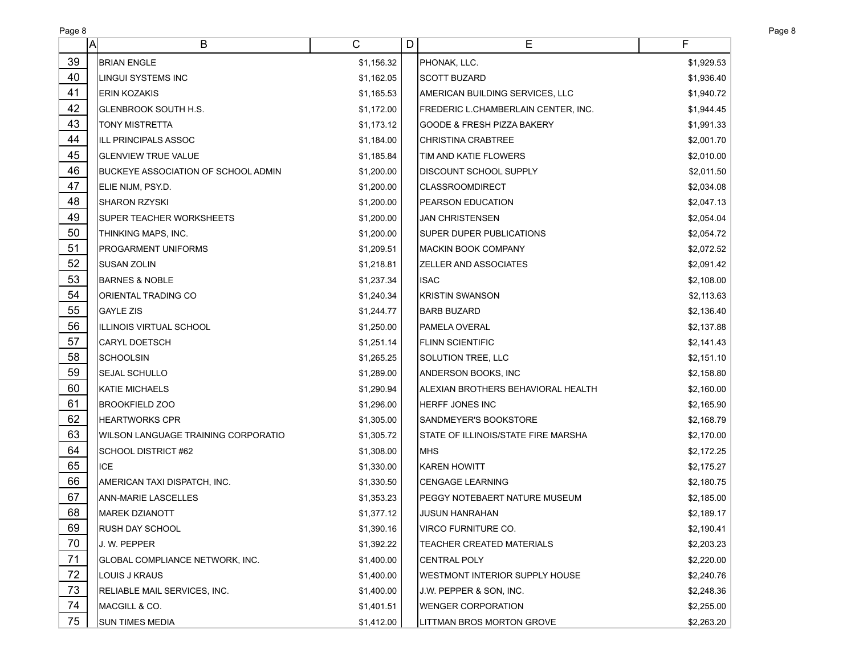| Page 8 |                                        |            |   |                                       |            |
|--------|----------------------------------------|------------|---|---------------------------------------|------------|
| A      | B                                      | С          | D | Ε                                     | F          |
| 39     | <b>BRIAN ENGLE</b>                     | \$1,156.32 |   | PHONAK, LLC.                          | \$1,929.53 |
| 40     | LINGUI SYSTEMS INC                     | \$1,162.05 |   | <b>SCOTT BUZARD</b>                   | \$1,936.40 |
| 41     | <b>ERIN KOZAKIS</b>                    | \$1,165.53 |   | AMERICAN BUILDING SERVICES, LLC       | \$1,940.72 |
| 42     | GLENBROOK SOUTH H.S.                   | \$1,172.00 |   | FREDERIC L.CHAMBERLAIN CENTER, INC.   | \$1,944.45 |
| 43     | <b>TONY MISTRETTA</b>                  | \$1,173.12 |   | <b>GOODE &amp; FRESH PIZZA BAKERY</b> | \$1,991.33 |
| 44     | ILL PRINCIPALS ASSOC                   | \$1,184.00 |   | <b>CHRISTINA CRABTREE</b>             | \$2,001.70 |
| 45     | <b>GLENVIEW TRUE VALUE</b>             | \$1,185.84 |   | TIM AND KATIE FLOWERS                 | \$2,010.00 |
| 46     | BUCKEYE ASSOCIATION OF SCHOOL ADMIN    | \$1,200.00 |   | <b>DISCOUNT SCHOOL SUPPLY</b>         | \$2,011.50 |
| 47     | ELIE NIJM, PSY.D.                      | \$1,200.00 |   | CLASSROOMDIRECT                       | \$2,034.08 |
| 48     | SHARON RZYSKI                          | \$1,200.00 |   | <b>PEARSON EDUCATION</b>              | \$2,047.13 |
| 49     | SUPER TEACHER WORKSHEETS               | \$1,200.00 |   | <b>JAN CHRISTENSEN</b>                | \$2,054.04 |
| 50     | THINKING MAPS, INC.                    | \$1,200.00 |   | <b>SUPER DUPER PUBLICATIONS</b>       | \$2,054.72 |
| 51     | <b>PROGARMENT UNIFORMS</b>             | \$1,209.51 |   | MACKIN BOOK COMPANY                   | \$2,072.52 |
| 52     | SUSAN ZOLIN                            | \$1,218.81 |   | <b>ZELLER AND ASSOCIATES</b>          | \$2,091.42 |
| 53     | <b>BARNES &amp; NOBLE</b>              | \$1,237.34 |   | <b>ISAC</b>                           | \$2,108.00 |
| 54     | <b>ORIENTAL TRADING CO</b>             | \$1,240.34 |   | KRISTIN SWANSON                       | \$2,113.63 |
| 55     | <b>GAYLE ZIS</b>                       | \$1,244.77 |   | <b>BARB BUZARD</b>                    | \$2,136.40 |
| 56     | IILLINOIS VIRTUAL SCHOOL               | \$1,250.00 |   | PAMELA OVERAL                         | \$2,137.88 |
| 57     | <b>CARYL DOETSCH</b>                   | \$1,251.14 |   | <b>FLINN SCIENTIFIC</b>               | \$2,141.43 |
| 58     | <b>SCHOOLSIN</b>                       | \$1,265.25 |   | <b>SOLUTION TREE, LLC</b>             | \$2,151.10 |
| 59     | SEJAL SCHULLO                          | \$1,289.00 |   | ANDERSON BOOKS, INC                   | \$2,158.80 |
| 60     | KATIE MICHAELS                         | \$1,290.94 |   | ALEXIAN BROTHERS BEHAVIORAL HEALTH    | \$2,160.00 |
| 61     | <b>BROOKFIELD ZOO</b>                  | \$1,296.00 |   | HERFF JONES INC                       | \$2,165.90 |
| 62     | <b>HEARTWORKS CPR</b>                  | \$1,305.00 |   | <b>SANDMEYER'S BOOKSTORE</b>          | \$2,168.79 |
| 63     | WILSON LANGUAGE TRAINING CORPORATIO    | \$1,305.72 |   | STATE OF ILLINOIS/STATE FIRE MARSHA   | \$2,170.00 |
| 64     | SCHOOL DISTRICT #62                    | \$1,308.00 |   | <b>IMHS</b>                           | \$2,172.25 |
| 65     | ICE                                    | \$1,330.00 |   | <b>KAREN HOWITT</b>                   | \$2,175.27 |
| 66     | AMERICAN TAXI DISPATCH, INC.           | \$1,330.50 |   | <b>CENGAGE LEARNING</b>               | \$2,180.75 |
| 67     | <b>ANN-MARIE LASCELLES</b>             | \$1,353.23 |   | PEGGY NOTEBAERT NATURE MUSEUM         | \$2,185.00 |
| 68     | MAREK DZIANOTT                         | \$1,377.12 |   | <b>JUSUN HANRAHAN</b>                 | \$2,189.17 |
| 69     | <b>RUSH DAY SCHOOL</b>                 | \$1,390.16 |   | VIRCO FURNITURE CO.                   | \$2,190.41 |
| 70     | J. W. PEPPER                           | \$1,392.22 |   | TEACHER CREATED MATERIALS             | \$2,203.23 |
| 71     | <b>GLOBAL COMPLIANCE NETWORK, INC.</b> | \$1,400.00 |   | CENTRAL POLY                          | \$2,220.00 |
| 72     | LOUIS J KRAUS                          | \$1,400.00 |   | <b>WESTMONT INTERIOR SUPPLY HOUSE</b> | \$2,240.76 |
| 73     | RELIABLE MAIL SERVICES, INC.           | \$1,400.00 |   | J.W. PEPPER & SON, INC.               | \$2,248.36 |
| 74     | MACGILL & CO.                          | \$1,401.51 |   | <b>WENGER CORPORATION</b>             | \$2,255.00 |
| 75     | <b>SUN TIMES MEDIA</b>                 | \$1,412.00 |   | LITTMAN BROS MORTON GROVE             | \$2,263.20 |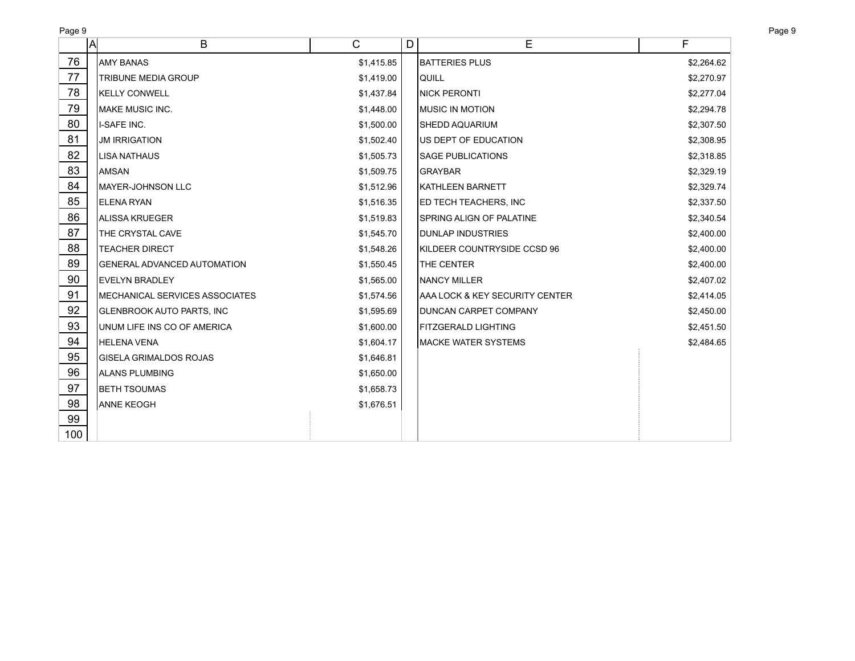| Page 9<br>Page 9 |                                    |                |   |                                 |            |  |  |  |
|------------------|------------------------------------|----------------|---|---------------------------------|------------|--|--|--|
|                  | B<br>A                             | $\overline{C}$ | D | E                               | F          |  |  |  |
| 76               | IAMY BANAS                         | \$1,415.85     |   | <b>BATTERIES PLUS</b>           | \$2,264.62 |  |  |  |
| 77               | TRIBUNE MEDIA GROUP                | \$1,419.00     |   | QUILL                           | \$2,270.97 |  |  |  |
| 78               | <b>KELLY CONWELL</b>               | \$1,437.84     |   | <b>NICK PERONTI</b>             | \$2,277.04 |  |  |  |
| 79               | <b>MAKE MUSIC INC.</b>             | \$1,448.00     |   | <b>MUSIC IN MOTION</b>          | \$2,294.78 |  |  |  |
| 80               | I-SAFE INC.                        | \$1,500.00     |   | <b>SHEDD AQUARIUM</b>           | \$2,307.50 |  |  |  |
| 81               | <b>JM IRRIGATION</b>               | \$1,502.40     |   | <b>JUS DEPT OF EDUCATION</b>    | \$2,308.95 |  |  |  |
| 82               | LISA NATHAUS                       | \$1,505.73     |   | <b>SAGE PUBLICATIONS</b>        | \$2,318.85 |  |  |  |
| 83               | <b>AMSAN</b>                       | \$1,509.75     |   | <b>GRAYBAR</b>                  | \$2,329.19 |  |  |  |
| 84               | MAYER-JOHNSON LLC                  | \$1,512.96     |   | KATHLEEN BARNETT                | \$2,329.74 |  |  |  |
| 85               | ELENA RYAN                         | \$1,516.35     |   | <b>ED TECH TEACHERS, INC</b>    | \$2,337.50 |  |  |  |
| 86               | ALISSA KRUEGER                     | \$1,519.83     |   | <b>SPRING ALIGN OF PALATINE</b> | \$2,340.54 |  |  |  |
| 87               | THE CRYSTAL CAVE                   | \$1,545.70     |   | <b>DUNLAP INDUSTRIES</b>        | \$2,400.00 |  |  |  |
| 88               | <b>TEACHER DIRECT</b>              | \$1,548.26     |   | KILDEER COUNTRYSIDE CCSD 96     | \$2,400.00 |  |  |  |
| 89               | <b>GENERAL ADVANCED AUTOMATION</b> | \$1,550.45     |   | <b>THE CENTER</b>               | \$2,400.00 |  |  |  |
| 90               | EVELYN BRADLEY                     | \$1,565.00     |   | <b>NANCY MILLER</b>             | \$2,407.02 |  |  |  |
| 91               | MECHANICAL SERVICES ASSOCIATES     | \$1,574.56     |   | AAA LOCK & KEY SECURITY CENTER  | \$2,414.05 |  |  |  |
| 92               | GLENBROOK AUTO PARTS, INC          | \$1,595.69     |   | <b>DUNCAN CARPET COMPANY</b>    | \$2,450.00 |  |  |  |
| 93               | UNUM LIFE INS CO OF AMERICA        | \$1,600.00     |   | <b>FITZGERALD LIGHTING</b>      | \$2,451.50 |  |  |  |
| 94               | <b>HELENA VENA</b>                 | \$1,604.17     |   | MACKE WATER SYSTEMS             | \$2,484.65 |  |  |  |
| 95               | <b>GISELA GRIMALDOS ROJAS</b>      | \$1,646.81     |   |                                 |            |  |  |  |
| 96               | ALANS PLUMBING                     | \$1,650.00     |   |                                 |            |  |  |  |
| 97               | <b>BETH TSOUMAS</b>                | \$1,658.73     |   |                                 |            |  |  |  |
| 98               | <b>ANNE KEOGH</b>                  | \$1,676.51     |   |                                 |            |  |  |  |
| 99               |                                    |                |   |                                 |            |  |  |  |
| 100              |                                    |                |   |                                 |            |  |  |  |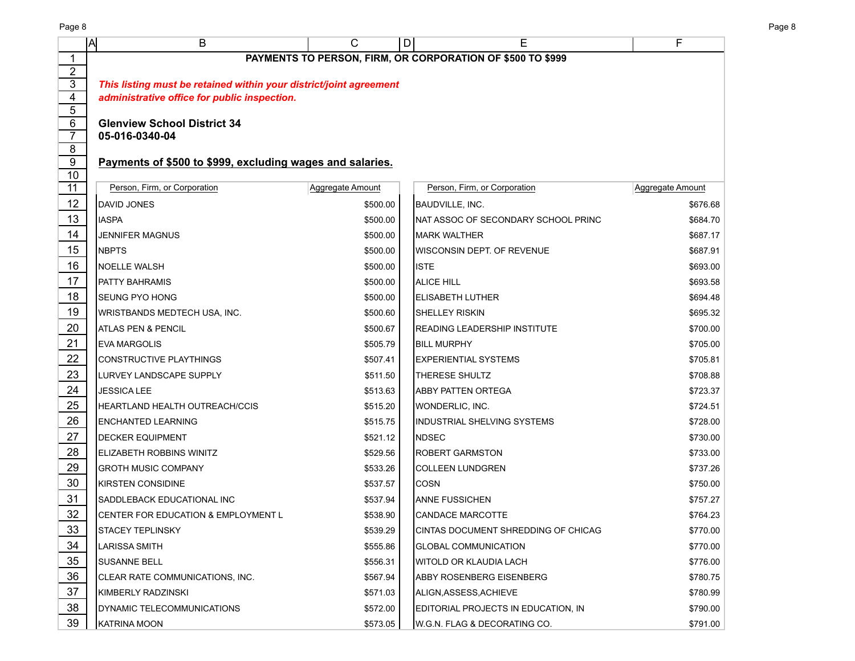|                | A<br>B                                                             | $\overline{C}$   | E<br>D                                                     | F                |  |  |  |  |  |  |  |  |
|----------------|--------------------------------------------------------------------|------------------|------------------------------------------------------------|------------------|--|--|--|--|--|--|--|--|
| 1              |                                                                    |                  | PAYMENTS TO PERSON, FIRM, OR CORPORATION OF \$500 TO \$999 |                  |  |  |  |  |  |  |  |  |
| $\overline{2}$ |                                                                    |                  |                                                            |                  |  |  |  |  |  |  |  |  |
| 3<br>4         | This listing must be retained within your district/joint agreement |                  |                                                            |                  |  |  |  |  |  |  |  |  |
| 5              | administrative office for public inspection.                       |                  |                                                            |                  |  |  |  |  |  |  |  |  |
| 6              | <b>Glenview School District 34</b>                                 |                  |                                                            |                  |  |  |  |  |  |  |  |  |
| 7              | 05-016-0340-04                                                     |                  |                                                            |                  |  |  |  |  |  |  |  |  |
| 8              |                                                                    |                  |                                                            |                  |  |  |  |  |  |  |  |  |
| 9              | Payments of \$500 to \$999, excluding wages and salaries.          |                  |                                                            |                  |  |  |  |  |  |  |  |  |
| 10<br>11       | Person, Firm, or Corporation                                       | Aggregate Amount | Person, Firm, or Corporation                               | Aggregate Amount |  |  |  |  |  |  |  |  |
| 12             | <b>IDAVID JONES</b>                                                | \$500.00         | BAUDVILLE, INC.                                            | \$676.68         |  |  |  |  |  |  |  |  |
| 13             | IIASPA                                                             | \$500.00         | NAT ASSOC OF SECONDARY SCHOOL PRINC                        | \$684.70         |  |  |  |  |  |  |  |  |
| 14             | <b>JENNIFER MAGNUS</b>                                             | \$500.00         | IMARK WALTHER                                              | \$687.17         |  |  |  |  |  |  |  |  |
| 15             | <b>NBPTS</b>                                                       | \$500.00         | WISCONSIN DEPT. OF REVENUE                                 | \$687.91         |  |  |  |  |  |  |  |  |
| 16             | <b>I</b> NOELLE WALSH                                              | \$500.00         | <b>ISTE</b>                                                | \$693.00         |  |  |  |  |  |  |  |  |
| 17             | PATTY BAHRAMIS                                                     | \$500.00         | <b>ALICE HILL</b>                                          | \$693.58         |  |  |  |  |  |  |  |  |
| 18             | ISEUNG PYO HONG                                                    | \$500.00         | <b>ELISABETH LUTHER</b>                                    | \$694.48         |  |  |  |  |  |  |  |  |
| 19             | <b>WRISTBANDS MEDTECH USA, INC.</b>                                | \$500.60         | <b>SHELLEY RISKIN</b>                                      | \$695.32         |  |  |  |  |  |  |  |  |
| 20             | <b>ATLAS PEN &amp; PENCIL</b>                                      | \$500.67         | <b>READING LEADERSHIP INSTITUTE</b>                        | \$700.00         |  |  |  |  |  |  |  |  |
| 21             | <b>EVA MARGOLIS</b>                                                | \$505.79         | <b>BILL MURPHY</b>                                         | \$705.00         |  |  |  |  |  |  |  |  |
| 22             | CONSTRUCTIVE PLAYTHINGS                                            | \$507.41         | <b>EXPERIENTIAL SYSTEMS</b>                                | \$705.81         |  |  |  |  |  |  |  |  |
| 23             | LURVEY LANDSCAPE SUPPLY                                            | \$511.50         | THERESE SHULTZ                                             | \$708.88         |  |  |  |  |  |  |  |  |
| 24             | <b>JESSICA LEE</b>                                                 | \$513.63         | <b>ABBY PATTEN ORTEGA</b>                                  | \$723.37         |  |  |  |  |  |  |  |  |
| 25             | HEARTLAND HEALTH OUTREACH/CCIS                                     | \$515.20         | <b>WONDERLIC, INC.</b>                                     | \$724.51         |  |  |  |  |  |  |  |  |
| 26             | <b>ENCHANTED LEARNING</b>                                          | \$515.75         | <b>INDUSTRIAL SHELVING SYSTEMS</b>                         | \$728.00         |  |  |  |  |  |  |  |  |
| 27             | <b>I</b> DECKER EQUIPMENT                                          | \$521.12         | <b>NDSEC</b>                                               | \$730.00         |  |  |  |  |  |  |  |  |
| 28             | ELIZABETH ROBBINS WINITZ                                           | \$529.56         | <b>ROBERT GARMSTON</b>                                     | \$733.00         |  |  |  |  |  |  |  |  |
| 29             | GROTH MUSIC COMPANY                                                | \$533.26         | <b>COLLEEN LUNDGREN</b>                                    | \$737.26         |  |  |  |  |  |  |  |  |
| 30             | <b>KIRSTEN CONSIDINE</b>                                           | \$537.57         | <b>COSN</b>                                                | \$750.00         |  |  |  |  |  |  |  |  |
| 31             | SADDLEBACK EDUCATIONAL INC                                         | \$537.94         | <b>ANNE FUSSICHEN</b>                                      | \$757.27         |  |  |  |  |  |  |  |  |
| 32             | CENTER FOR EDUCATION & EMPLOYMENT L                                | \$538.90         | CANDACE MARCOTTE                                           | \$764.23         |  |  |  |  |  |  |  |  |
| 33             | ISTACEY TEPLINSKY                                                  | \$539.29         | CINTAS DOCUMENT SHREDDING OF CHICAG                        | \$770.00         |  |  |  |  |  |  |  |  |
| 34             | LARISSA SMITH                                                      | \$555.86         | <b>GLOBAL COMMUNICATION</b>                                | \$770.00         |  |  |  |  |  |  |  |  |
| 35             | <b>I</b> SUSANNE BELL                                              | \$556.31         | WITOLD OR KLAUDIA LACH                                     | \$776.00         |  |  |  |  |  |  |  |  |
| 36             | ICLEAR RATE COMMUNICATIONS, INC.                                   | \$567.94         | ABBY ROSENBERG EISENBERG                                   | \$780.75         |  |  |  |  |  |  |  |  |
| 37             | IKIMBERLY RADZINSKI                                                | \$571.03         | ALIGN, ASSESS, ACHIEVE                                     | \$780.99         |  |  |  |  |  |  |  |  |
| 38             | IDYNAMIC TELECOMMUNICATIONS                                        | \$572.00         | EDITORIAL PROJECTS IN EDUCATION, IN                        | \$790.00         |  |  |  |  |  |  |  |  |
| 39             | KATRINA MOON                                                       | \$573.05         | W.G.N. FLAG & DECORATING CO.                               | \$791.00         |  |  |  |  |  |  |  |  |

Page 8 Page 8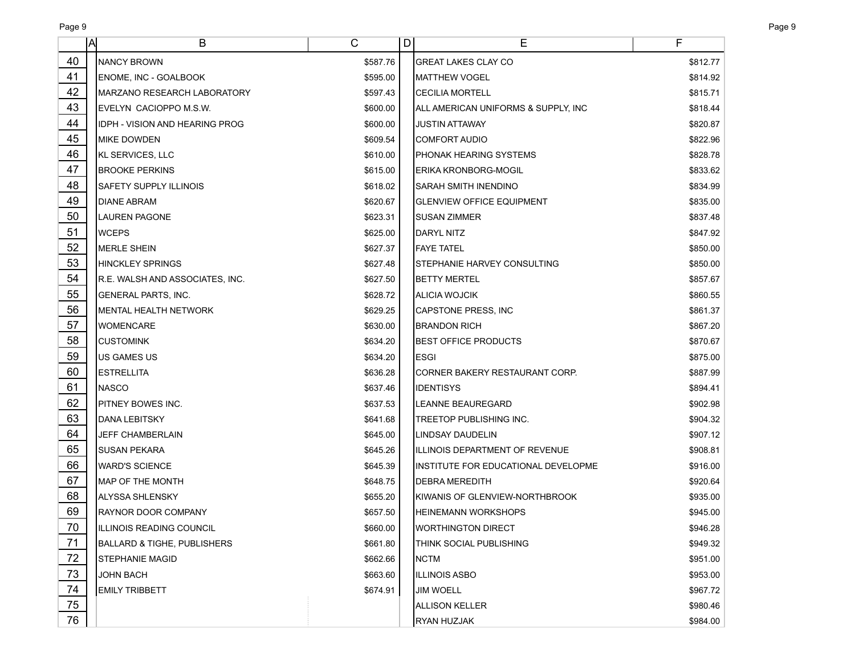| Page 9 | Page 9 |  |
|--------|--------|--|
|        |        |  |

|                 | ΙA | В                                      | C        | D | Е                                   | F        |
|-----------------|----|----------------------------------------|----------|---|-------------------------------------|----------|
| 40              |    | INANCY BROWN                           | \$587.76 |   | <b>GREAT LAKES CLAY CO</b>          | \$812.77 |
| 41              |    | ENOME, INC - GOALBOOK                  | \$595.00 |   | MATTHEW VOGEL                       | \$814.92 |
| 42              |    | IMARZANO RESEARCH LABORATORY           | \$597.43 |   | <b>CECILIA MORTELL</b>              | \$815.71 |
| 43              |    | EVELYN CACIOPPO M.S.W.                 | \$600.00 |   | ALL AMERICAN UNIFORMS & SUPPLY, INC | \$818.44 |
| 44              |    | <b>IDPH - VISION AND HEARING PROG</b>  | \$600.00 |   | JUSTIN ATTAWAY                      | \$820.87 |
| 45              |    | IMIKE DOWDEN                           | \$609.54 |   | <b>COMFORT AUDIO</b>                | \$822.96 |
| 46              |    | KL SERVICES, LLC                       | \$610.00 |   | IPHONAK HEARING SYSTEMS             | \$828.78 |
| 47              |    | <b>BROOKE PERKINS</b>                  | \$615.00 |   | ERIKA KRONBORG-MOGIL                | \$833.62 |
| 48              |    | SAFETY SUPPLY ILLINOIS                 | \$618.02 |   | SARAH SMITH INENDINO                | \$834.99 |
| 49              |    | DIANE ABRAM                            | \$620.67 |   | <b>GLENVIEW OFFICE EQUIPMENT</b>    | \$835.00 |
| 50              |    | LAUREN PAGONE                          | \$623.31 |   | <b>SUSAN ZIMMER</b>                 | \$837.48 |
| 51              |    | <b>WCEPS</b>                           | \$625.00 |   | DARYL NITZ                          | \$847.92 |
| 52              |    | <b>MERLE SHEIN</b>                     | \$627.37 |   | <b>FAYE TATEL</b>                   | \$850.00 |
| 53              |    | <b>HINCKLEY SPRINGS</b>                | \$627.48 |   | STEPHANIE HARVEY CONSULTING         | \$850.00 |
| 54              |    | IR.E. WALSH AND ASSOCIATES, INC.       | \$627.50 |   | <b>BETTY MERTEL</b>                 | \$857.67 |
| 55              |    | <b>GENERAL PARTS, INC.</b>             | \$628.72 |   | ALICIA WOJCIK                       | \$860.55 |
| 56              |    | IMENTAL HEALTH NETWORK                 | \$629.25 |   | <b>CAPSTONE PRESS, INC</b>          | \$861.37 |
| 57              |    | <b>WOMENCARE</b>                       | \$630.00 |   | <b>BRANDON RICH</b>                 | \$867.20 |
| 58              |    | <b>CUSTOMINK</b>                       | \$634.20 |   | <b>BEST OFFICE PRODUCTS</b>         | \$870.67 |
| 59              |    | <b>US GAMES US</b>                     | \$634.20 |   | ESGI                                | \$875.00 |
| 60              |    | <b>ESTRELLITA</b>                      | \$636.28 |   | CORNER BAKERY RESTAURANT CORP.      | \$887.99 |
| 61              |    | <b>NASCO</b>                           | \$637.46 |   | <b>IDENTISYS</b>                    | \$894.41 |
| 62              |    | PITNEY BOWES INC.                      | \$637.53 |   | <b>LEANNE BEAUREGARD</b>            | \$902.98 |
| 63              |    | DANA LEBITSKY                          | \$641.68 |   | TREETOP PUBLISHING INC.             | \$904.32 |
| 64              |    | JEFF CHAMBERLAIN                       | \$645.00 |   | LINDSAY DAUDELIN                    | \$907.12 |
| 65              |    | SUSAN PEKARA                           | \$645.26 |   | ILLINOIS DEPARTMENT OF REVENUE      | \$908.81 |
| 66              |    | <b>WARD'S SCIENCE</b>                  | \$645.39 |   | INSTITUTE FOR EDUCATIONAL DEVELOPME | \$916.00 |
| 67              |    | IMAP OF THE MONTH                      | \$648.75 |   | <b>DEBRA MEREDITH</b>               | \$920.64 |
| 68              |    | ALYSSA SHLENSKY                        | \$655.20 |   | KIWANIS OF GLENVIEW-NORTHBROOK      | \$935.00 |
| 69              |    | <b>RAYNOR DOOR COMPANY</b>             | \$657.50 |   | HEINEMANN WORKSHOPS                 | \$945.00 |
| $\overline{70}$ |    | ILLLINOIS READING COUNCIL              | \$660.00 |   | <b>WORTHINGTON DIRECT</b>           | \$946.28 |
| 71              |    | <b>BALLARD &amp; TIGHE, PUBLISHERS</b> | \$661.80 |   | THINK SOCIAL PUBLISHING             | \$949.32 |
| 72              |    | <b>STEPHANIE MAGID</b>                 | \$662.66 |   | <b>NCTM</b>                         | \$951.00 |
| 73              |    | <b>JOHN BACH</b>                       | \$663.60 |   | <b>ILLINOIS ASBO</b>                | \$953.00 |
| 74              |    | <b>EMILY TRIBBETT</b>                  | \$674.91 |   | <b>JIM WOELL</b>                    | \$967.72 |
| 75              |    |                                        |          |   | <b>ALLISON KELLER</b>               | \$980.46 |
| 76              |    |                                        |          |   | <b>RYAN HUZJAK</b>                  | \$984.00 |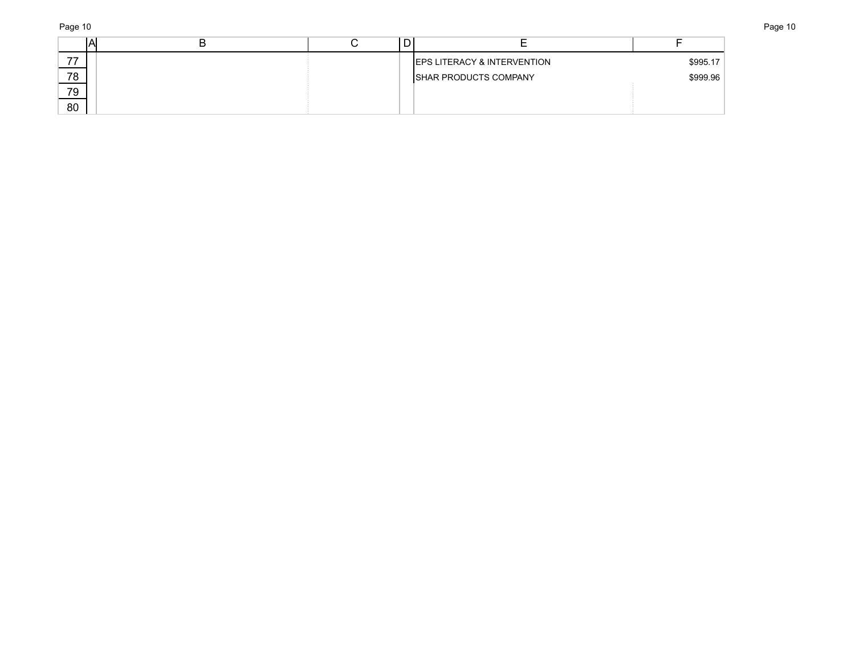Page 10 Page 10

|    |  | <b>EPS LITERACY &amp; INTERVENTION</b> | \$995.17 |
|----|--|----------------------------------------|----------|
| 78 |  | <b>ISHAR PRODUCTS COMPANY</b>          | \$999.96 |
| 79 |  |                                        |          |
| 80 |  |                                        |          |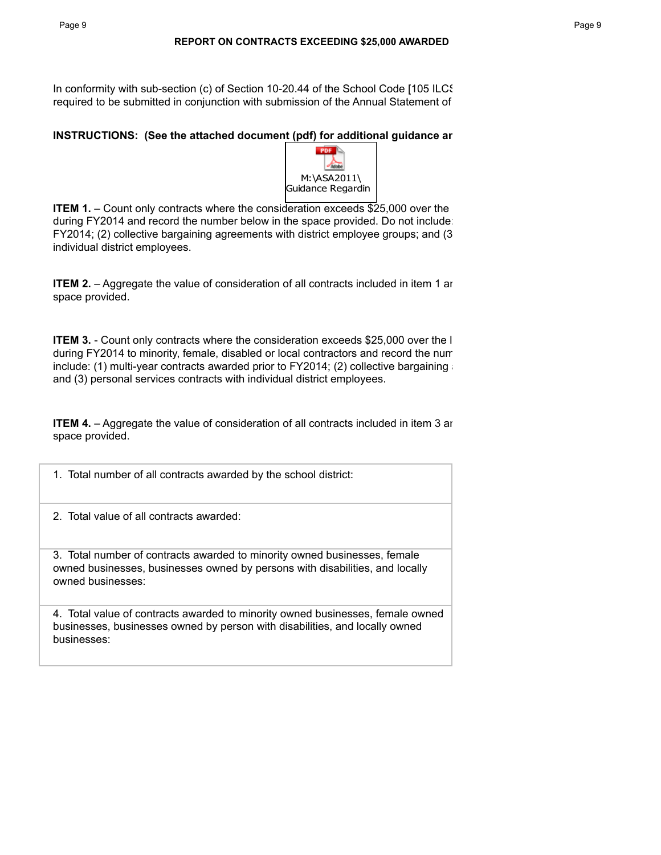In conformity with sub-section (c) of Section 10-20.44 of the School Code [105 ILCS required to be submitted in conjunction with submission of the Annual Statement of

# **INSTRUCTIONS:** (See the attached document (pdf) for additional guidance ar



**ITEM 1.** – Count only contracts where the consideration exceeds \$25,000 over the during FY2014 and record the number below in the space provided. Do not include:  $FY2014$ ; (2) collective bargaining agreements with district employee groups; and (3) individual district employees.

**ITEM 2.** – Aggregate the value of consideration of all contracts included in item 1 and record to space provided.

**ITEM 3.** - Count only contracts where the consideration exceeds \$25,000 over the I during FY2014 to minority, female, disabled or local contractors and record the num include: (1) multi-year contracts awarded prior to FY2014; (2) collective bargaining a and (3) personal services contracts with individual district employees.

**ITEM 4.** – Aggregate the value of consideration of all contracts included in item 3 and record the dollar amount B space provided.

1. Total number of all contracts awarded by the school district:

2. Total value of all contracts awarded:

3. Total number of contracts awarded to minority owned businesses, female owned businesses, businesses owned by persons with disabilities, and locally owned businesses:

4. Total value of contracts awarded to minority owned businesses, female owned businesses, businesses owned by person with disabilities, and locally owned businesses: